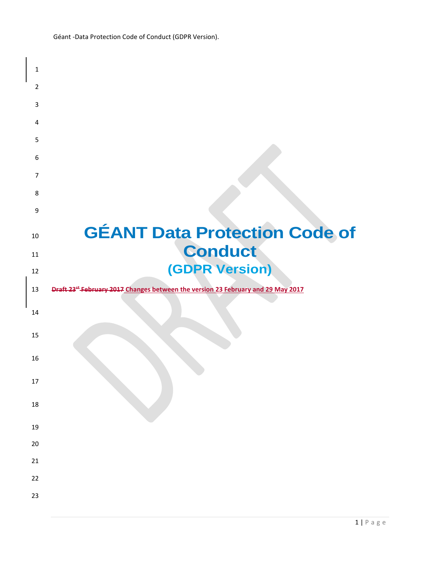| <b>GÉANT Data Protection Code of</b>                                                         |
|----------------------------------------------------------------------------------------------|
| <b>Conduct</b>                                                                               |
|                                                                                              |
| (GDPR Version)                                                                               |
| Draft 23 <sup>tt</sup> February 2017 Changes between the version 23 February and 29 May 2017 |
|                                                                                              |
|                                                                                              |
|                                                                                              |
|                                                                                              |
|                                                                                              |
|                                                                                              |
|                                                                                              |
|                                                                                              |
|                                                                                              |
|                                                                                              |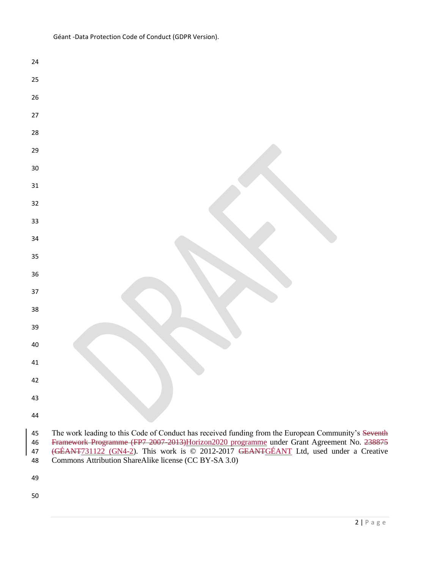| 24       |                                                                                                                                                                                                    |
|----------|----------------------------------------------------------------------------------------------------------------------------------------------------------------------------------------------------|
| 25       |                                                                                                                                                                                                    |
| 26       |                                                                                                                                                                                                    |
| $27\,$   |                                                                                                                                                                                                    |
| 28       |                                                                                                                                                                                                    |
| 29       |                                                                                                                                                                                                    |
| 30       |                                                                                                                                                                                                    |
| $31\,$   |                                                                                                                                                                                                    |
| 32       |                                                                                                                                                                                                    |
| 33       |                                                                                                                                                                                                    |
| 34       |                                                                                                                                                                                                    |
| 35       |                                                                                                                                                                                                    |
| 36       |                                                                                                                                                                                                    |
| 37       |                                                                                                                                                                                                    |
| 38       |                                                                                                                                                                                                    |
| 39       |                                                                                                                                                                                                    |
| $40\,$   |                                                                                                                                                                                                    |
| 41       |                                                                                                                                                                                                    |
| 42       |                                                                                                                                                                                                    |
| 43       |                                                                                                                                                                                                    |
| 44       |                                                                                                                                                                                                    |
| 45<br>46 | The work leading to this Code of Conduct has received funding from the European Community's Seventh<br>Framework Programme (FP7 2007-2013) Horizon 2020 programme under Grant Agreement No. 238875 |
| 47<br>48 | (GÉANT731122 (GN4-2). This work is © 2012-2017 GEANTGÉANT Ltd, used under a Creative<br>Commons Attribution ShareAlike license (CC BY-SA 3.0)                                                      |
| 49       |                                                                                                                                                                                                    |
|          |                                                                                                                                                                                                    |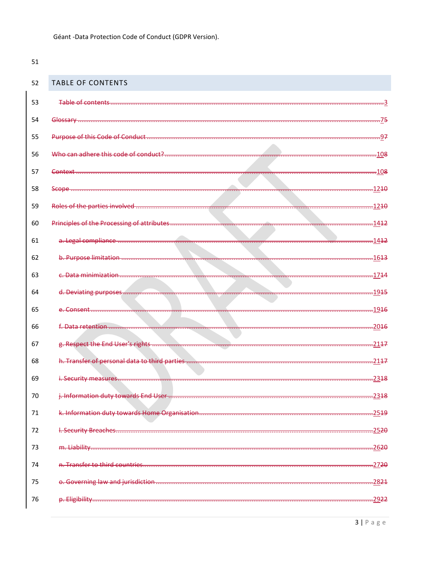<span id="page-2-0"></span>

| 52 | <b>TABLE OF CONTENTS</b>          |                   |
|----|-----------------------------------|-------------------|
| 53 |                                   |                   |
| 54 |                                   | -75               |
| 55 |                                   | -97               |
| 56 |                                   |                   |
| 57 |                                   |                   |
| 58 |                                   |                   |
| 59 |                                   |                   |
| 60 |                                   |                   |
| 61 |                                   |                   |
| 62 |                                   |                   |
| 63 |                                   |                   |
| 64 |                                   |                   |
| 65 |                                   |                   |
| 66 |                                   |                   |
| 67 |                                   |                   |
| 68 |                                   |                   |
| 69 |                                   | $-2318$           |
| 70 |                                   | $-2318$           |
| 71 |                                   | $-25.19$          |
| 72 |                                   | $-25.20$          |
| 73 | m. Liability                      | .2620             |
| 74 | n. Transfer to third countries.   | $-2720$           |
| 75 | o. Governing law and jurisdiction | $-2821$           |
| 76 | p. Eligibility.                   | -29 <del>22</del> |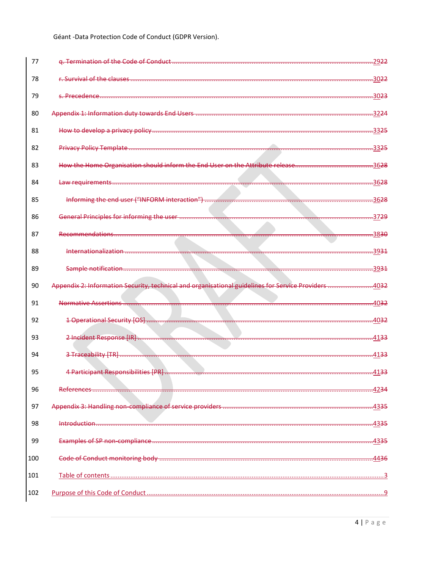| 78<br>r. Survival of the clauses                                                                      |                               |
|-------------------------------------------------------------------------------------------------------|-------------------------------|
|                                                                                                       | -30 <del>22</del>             |
| 79<br>s Precedence.                                                                                   | <u>.3023</u>                  |
| 80<br>Appendix 1: Information duty towards End Users                                                  | -32 <del>24</del>             |
| 81                                                                                                    | <del></del> 33 <del>25</del>  |
| 82<br><b>Privacy Policy Template</b>                                                                  | <del></del> 33 <del>25</del>  |
| How the Home Organisation should inform the End User on the Attribute release<br>83                   | 36 <del>28</del>              |
| Law requirements<br>84                                                                                | <del></del> 36 <del>28</del>  |
| 85<br>Informing the end user ("INFORM interaction")                                                   | 36 <del>28</del>              |
| 86<br>General Principles for informing the user                                                       | <del>.</del> 37 <del>29</del> |
| 87<br>Recommendations                                                                                 | <del>.</del> 38 <del>30</del> |
| 88<br>Internationalization                                                                            | <del>.</del> 39 <del>31</del> |
| 89<br>Sample notification                                                                             | -39 <del>31</del>             |
| Appendix 2: Information Security, technical and organisational guidelines for Service Providers<br>90 | .40 <del>32</del>             |
| 91<br>Normative Assertions                                                                            | 4032                          |
| 92<br>1 Operational Security [OS]                                                                     | 40 <del>32</del>              |
| 2 Incident Response [IR]<br>93                                                                        | $-4133$                       |
| 94<br>3 Traceability [TR]                                                                             | $-4133$                       |
| 4 Participant Responsibilities [PR].<br>95                                                            | <u>.4133</u>                  |
| 96<br>aforoncoi                                                                                       | 42 <del>34</del>              |
| 97                                                                                                    | .43 <del>35</del>             |
| Introduction<br>98                                                                                    | .43 <del>35</del>             |
| 99                                                                                                    | .43 <del>35</del>             |
| 100                                                                                                   | 4436                          |
| 101                                                                                                   |                               |
| 102                                                                                                   |                               |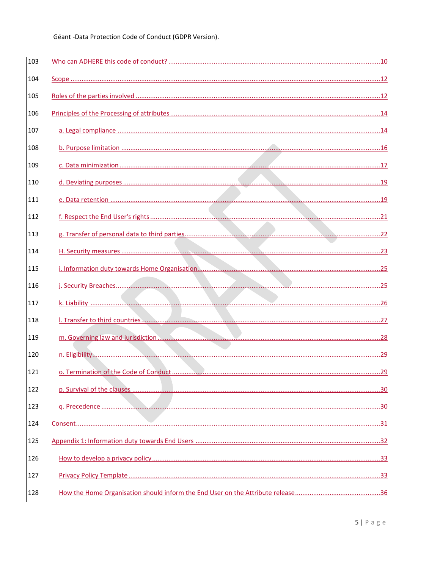| 103 |  |
|-----|--|
| 104 |  |
| 105 |  |
| 106 |  |
| 107 |  |
| 108 |  |
| 109 |  |
| 110 |  |
| 111 |  |
| 112 |  |
| 113 |  |
| 114 |  |
| 115 |  |
| 116 |  |
| 117 |  |
| 118 |  |
| 119 |  |
| 120 |  |
| 121 |  |
| 122 |  |
| 123 |  |
| 124 |  |
| 125 |  |
| 126 |  |
| 127 |  |
| 128 |  |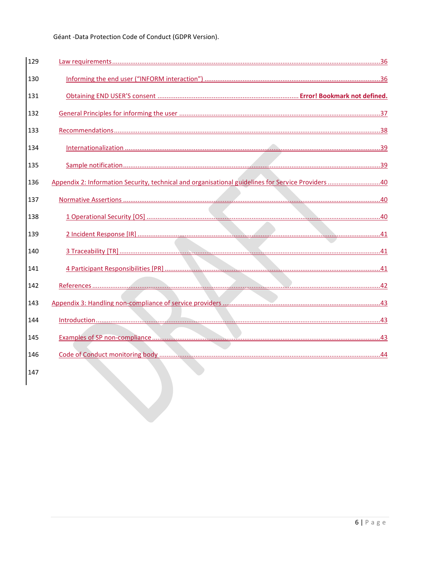| 129 |                                                                                                   |
|-----|---------------------------------------------------------------------------------------------------|
| 130 |                                                                                                   |
| 131 |                                                                                                   |
| 132 |                                                                                                   |
| 133 |                                                                                                   |
| 134 |                                                                                                   |
| 135 |                                                                                                   |
| 136 | Appendix 2: Information Security, technical and organisational guidelines for Service Providers40 |
| 137 |                                                                                                   |
| 138 |                                                                                                   |
| 139 |                                                                                                   |
| 140 |                                                                                                   |
| 141 |                                                                                                   |
| 142 |                                                                                                   |
| 143 |                                                                                                   |
| 144 |                                                                                                   |
| 145 |                                                                                                   |
| 146 |                                                                                                   |
| 147 |                                                                                                   |
|     |                                                                                                   |
|     |                                                                                                   |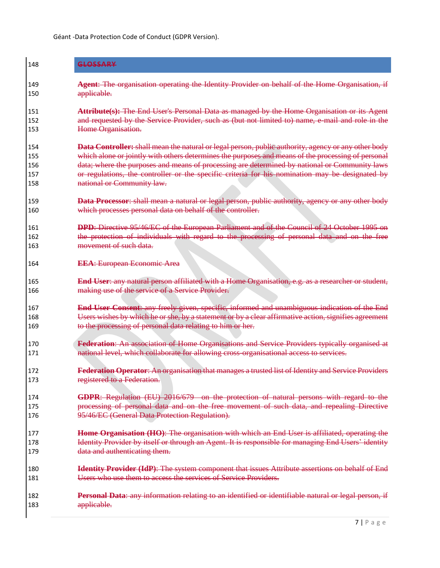| 148        | GLOSSARY                                                                                                                      |
|------------|-------------------------------------------------------------------------------------------------------------------------------|
| 149        | Agent: The organisation operating the Identity Provider on behalf of the Home Organisation, if                                |
| 150        | applicable.                                                                                                                   |
| 151        | Attribute(s): The End User's Personal Data as managed by the Home Organisation or its Agent                                   |
| 152        | and requested by the Service Provider, such as (but not limited to) name, e-mail and role in the                              |
| 153        | Home Organisation.                                                                                                            |
| 154        | Data Controller: shall mean the natural or legal person, public authority, agency or any other body                           |
| 155        | which alone or jointly with others determines the purposes and means of the processing of personal                            |
| 156        | data; where the purposes and means of processing are determined by national or Community laws                                 |
| 157<br>158 | or regulations, the controller or the specific criteria for his nomination may be designated by<br>national or Community law. |
| 159        | Data Processor: shall mean a natural or legal person, public authority, agency or any other body                              |
| 160        | which processes personal data on behalf of the controller.                                                                    |
| 161        | <b>DPD:</b> Directive 95/46/EC of the European Parliament and of the Council of 24 October 1995 on                            |
| 162        | the protection of individuals with regard to the processing of personal data and on the free                                  |
| 163        | movement of such data.                                                                                                        |
| 164        | <b>EEA:</b> European Economic Area                                                                                            |
| 165        | End User: any natural person affiliated with a Home Organisation, e.g. as a researcher or student,                            |
| 166        | making use of the service of a Service Provider.                                                                              |
| 167        | End User Consent: any freely given, specific, informed and unambiguous indication of the End                                  |
| 168        | Users wishes by which he or she, by a statement or by a clear affirmative action, signifies agreement                         |
| 169        | to the processing of personal data relating to him or her.                                                                    |
| 170        | Federation: An association of Home Organisations and Service Providers typically organised at                                 |
| 171        | national level, which collaborate for allowing cross-organisational access to services.                                       |
| 172        | <b>Federation Operator:</b> An organisation that manages a trusted list of Identity and Service Providers                     |
| 173        | registered to a Federation.                                                                                                   |
| 174        | GDPR: Regulation (EU) 2016/679 on the protection of natural persons with regard to the                                        |
| 175        | processing of personal data and on the free movement of such data, and repealing Directive                                    |
| 176        | 95/46/EC (General Data Protection Regulation).                                                                                |
| 177        | Home Organisation (HO): The organisation with which an End User is affiliated, operating the                                  |
| 178        | Identity Provider by itself or through an Agent. It is responsible for managing End Users' identity                           |
| 179        | data and authenticating them.                                                                                                 |
| 180        | Identity Provider (IdP): The system component that issues Attribute assertions on behalf of End                               |
| 181        | Users who use them to access the services of Service Providers.                                                               |
| 182<br>183 | Personal Data: any information relating to an identified or identifiable natural or legal person, if<br>applicable.           |
|            |                                                                                                                               |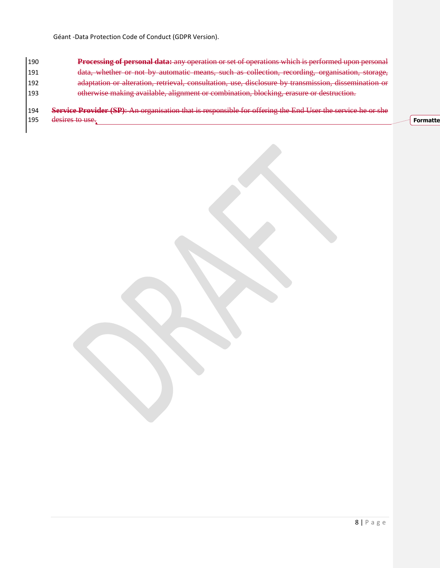**Processing of personal data:** any operation or set of operations which is performed upon personal data, whether or not by automatic means, such as collection, recording, organisation, storage, adaptation or alteration, retrieval, consultation, use, disclosure by transmission, dissemination or otherwise making available, alignment or combination, blocking, erasure or destruction.

 **Service Provider (SP)**: An organisation that is responsible for offering the End User the service he or she 195 desires to use. **Formatte**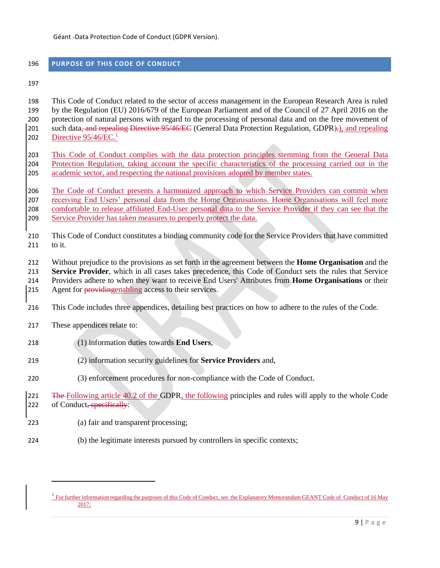# <span id="page-8-0"></span>**PURPOSE OF THIS CODE OF CONDUCT**

 This Code of Conduct related to the sector of access management in the European Research Area is ruled by the Regulation (EU) 2016/679 of the European Parliament and of the Council of 27 April 2016 on the protection of natural persons with regard to the processing of personal data and on the free movement of 201 such data, and repealing Directive 95/46/EC (General Data Protection Regulation, GDPR).), and repealing Directive  $95/46$ /EC.<sup>1</sup> 

 This Code of Conduct complies with the data protection principles stemming from the General Data Protection Regulation, taking account the specific characteristics of the processing carried out in the academic sector, and respecting the national provisions adopted by member states.

 The Code of Conduct presents a harmonized approach to which Service Providers can commit when receiving End Users' personal data from the Home Organisations. Home Organisations will feel more comfortable to release affiliated End-User personal data to the Service Provider if they can see that the Service Provider has taken measures to properly protect the data.

 This Code of Conduct constitutes a binding community code for the Service Providers that have committed to it.

Without prejudice to the provisions as set forth in the agreement between the **Home Organisation** and the

**Service Provider**, which in all cases takes precedence, this Code of Conduct sets the rules that Service

Providers adhere to when they want to receive End Users' Attributes from **Home Organisations** or their

215 Agent for providing access to their services.

- This Code includes three appendices, detailing best practices on how to adhere to the rules of the Code.
- These appendices relate to:

 $\overline{a}$ 

- (1) information duties towards **End Users**,
- (2) information security guidelines for **Service Providers** and,
- (3) enforcement procedures for non-compliance with the Code of Conduct.
- 221 The Following article 40.2 of the GDPR, the following principles and rules will apply to the whole Code 222 of Conduct<del>, specifically</del>:
- (a) fair and transparent processing;
- (b) the legitimate interests pursued by controllers in specific contexts;

<sup>&</sup>lt;sup>1</sup> For further information regarding the purposes of this Code of Conduct, see the Explanatory Memorandum GEANT Code of Conduct of 16 May 2017;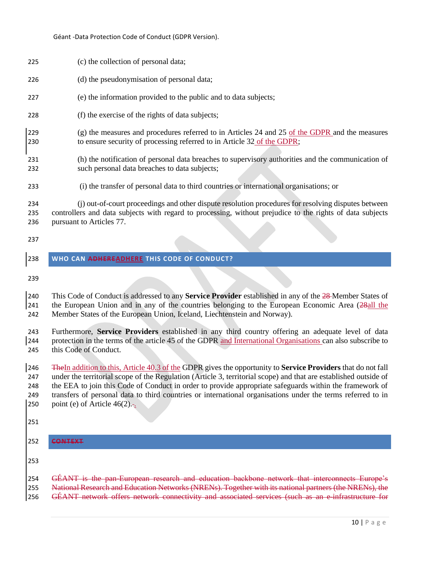<span id="page-9-0"></span>

| 225                             | (c) the collection of personal data;                                                                                                                                                                                                                                                                                                                                                                                                                                                          |
|---------------------------------|-----------------------------------------------------------------------------------------------------------------------------------------------------------------------------------------------------------------------------------------------------------------------------------------------------------------------------------------------------------------------------------------------------------------------------------------------------------------------------------------------|
| 226                             | (d) the pseudonymisation of personal data;                                                                                                                                                                                                                                                                                                                                                                                                                                                    |
| 227                             | (e) the information provided to the public and to data subjects;                                                                                                                                                                                                                                                                                                                                                                                                                              |
| 228                             | (f) the exercise of the rights of data subjects;                                                                                                                                                                                                                                                                                                                                                                                                                                              |
| 229<br>230                      | $(g)$ the measures and procedures referred to in Articles 24 and 25 of the GDPR and the measures<br>to ensure security of processing referred to in Article 32 of the GDPR;                                                                                                                                                                                                                                                                                                                   |
| 231<br>232                      | (h) the notification of personal data breaches to supervisory authorities and the communication of<br>such personal data breaches to data subjects;                                                                                                                                                                                                                                                                                                                                           |
| 233                             | (i) the transfer of personal data to third countries or international organisations; or                                                                                                                                                                                                                                                                                                                                                                                                       |
| 234<br>235<br>236               | (j) out-of-court proceedings and other dispute resolution procedures for resolving disputes between<br>controllers and data subjects with regard to processing, without prejudice to the rights of data subjects<br>pursuant to Articles 77.                                                                                                                                                                                                                                                  |
| 237                             |                                                                                                                                                                                                                                                                                                                                                                                                                                                                                               |
| 238                             | WHO CAN ADHEREADHERE THIS CODE OF CONDUCT?                                                                                                                                                                                                                                                                                                                                                                                                                                                    |
| 239                             |                                                                                                                                                                                                                                                                                                                                                                                                                                                                                               |
| 240<br>241<br>242               | This Code of Conduct is addressed to any <b>Service Provider</b> established in any of the 28-Member States of<br>the European Union and in any of the countries belonging to the European Economic Area (28all the<br>Member States of the European Union, Iceland, Liechtenstein and Norway).                                                                                                                                                                                               |
| 243<br>244<br>245               | Furthermore, Service Providers established in any third country offering an adequate level of data<br>protection in the terms of the article 45 of the GDPR and International Organisations can also subscribe to<br>this Code of Conduct.                                                                                                                                                                                                                                                    |
| 246<br>247<br>248<br>249<br>250 | The In addition to this, Article 40.3 of the GDPR gives the opportunity to Service Providers that do not fall<br>under the territorial scope of the Regulation (Article 3, territorial scope) and that are established outside of<br>the EEA to join this Code of Conduct in order to provide appropriate safeguards within the framework of<br>transfers of personal data to third countries or international organisations under the terms referred to in<br>point (e) of Article $46(2)$ . |
| 251                             |                                                                                                                                                                                                                                                                                                                                                                                                                                                                                               |
| 252                             | <b>CONTEXT</b>                                                                                                                                                                                                                                                                                                                                                                                                                                                                                |
| 253                             |                                                                                                                                                                                                                                                                                                                                                                                                                                                                                               |
|                                 |                                                                                                                                                                                                                                                                                                                                                                                                                                                                                               |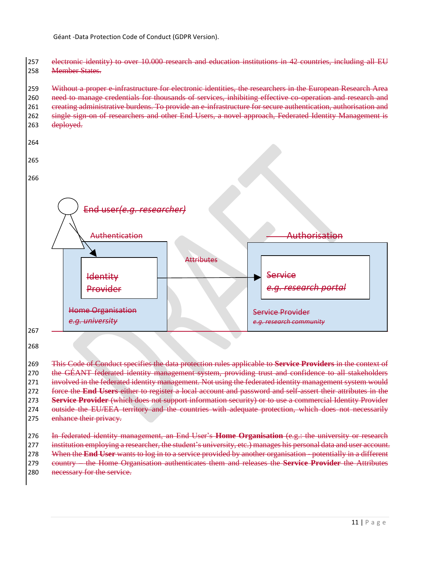257 electronic identity) to over 10.000 research and education institutions in 42 countries, including all EU 258 Member States.

## 259 Without a proper e-infrastructure for electronic identities, the researchers in the European Research Area 260 need to manage credentials for thousands of services, inhibiting effective co-operation and research and 261 creating administrative burdens. To provide an e-infrastructure for secure authentication, authorisation and 262 single sign-on of researchers and other End Users, a novel approach, Federated Identity Management is 263 deployed.



268

269 This Code of Conduct specifies the data protection rules applicable to **Service Providers** in the context of 270 the GÉANT federated identity management system, providing trust and confidence to all stakeholders 271 involved in the federated identity management. Not using the federated identity management system would 272 force the **End Users** either to register a local account and password and self-assert their attributes in the 273 **Service Provider** (which does not support information security) or to use a commercial Identity Provider 274 outside the EU/EEA territory and the countries with adequate protection, which does not necessarily 275 enhance their privacy.

276 In federated identity management, an End User's **Home Organisation** (e.g.: the university or research 277 institution employing a researcher, the student's university, etc.) manages his personal data and user account.

278 When the **End User** wants to log in to a service provided by another organisation - potentially in a different

279 country – the Home Organisation authenticates them and releases the **Service Provider** the Attributes

280 necessary for the service.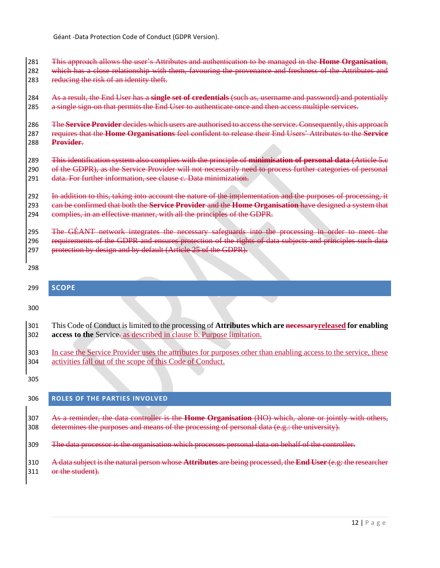This approach allows the user's Attributes and authentication to be managed in the **Home Organisation**, 282 which has a close relationship with them, favouring the provenance and freshness of the Attributes and 283 reducing the risk of an identity theft.

 As a result, the End User has a **single set of credentials** (such as, username and password) and potentially 285 a single sign on that permits the End User to authenticate once and then access multiple services.

 The **Service Provider** decides which users are authorised to access the service. Consequently, this approach requires that the **Home Organisations** feel confident to release their End Users' Attributes to the **Service Provider**.

 This identification system also complies with the principle of **minimisation of personal data** (Article 5.c 290 of the GDPR), as the Service Provider will not necessarily need to process further categories of personal data. For further information, see clause [c. Data minimization.](#page-16-0)

292 In addition to this, taking into account the nature of the implementation and the purposes of processing, it can be confirmed that both the **Service Provider** and the **Home Organisation** have designed a system that 294 complies, in an effective manner, with all the principles of the GDPR.

 The GÉANT network integrates the necessary safeguards into the processing in order to meet the 296 requirements of the GDPR and ensures protection of the rights of data subjects and principles such data 297 protection by design and by default (Article 25 of the GDPR).

<span id="page-11-0"></span>

| 299 | <b>SCOPE</b>                                                                                                   |
|-----|----------------------------------------------------------------------------------------------------------------|
| 300 |                                                                                                                |
| 301 | This Code of Conduct is limited to the processing of Attributes which are necessary released for enabling      |
| 302 | access to the Service- as described in clause b. Purpose limitation.                                           |
| 303 | In case the Service Provider uses the attributes for purposes other than enabling access to the service, these |
| 304 | activities fall out of the scope of this Code of Conduct.                                                      |
| 305 |                                                                                                                |

## <span id="page-11-1"></span>**ROLES OF THE PARTIES INVOLVED**

 As a reminder, the data controller is the **Home Organisation** (HO) which, alone or jointly with others, 308 determines the purposes and means of the processing of personal data  $(e, g, \cdot)$ : the university).

The data processor is the organisation which processes personal data on behalf of the controller.

 A data subject is the natural person whose **Attributes** are being processed, the **End User** (e.g: the researcher 311 or the student).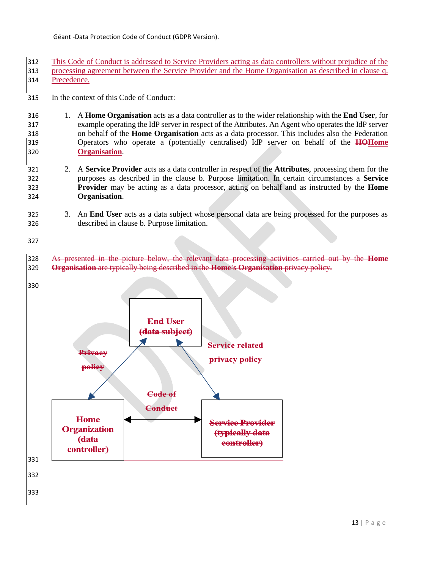This Code of Conduct is addressed to Service Providers acting as data controllers without prejudice of the processing agreement between the Service Provider and the Home Organisation as described in clause [q.](#page-29-1)  [Precedence.](#page-29-1)

In the context of this Code of Conduct:

- 1. A **Home Organisation** acts as a data controller as to the wider relationship with the **End User**, for example operating the IdP server in respect of the Attributes. An Agent who operates the IdP server on behalf of the **Home Organisation** acts as a data processor. This includes also the Federation Operators who operate a (potentially centralised) IdP server on behalf of the **HOHome Organisation**.
- 2. A **Service Provider** acts as a data controller in respect of the **Attributes**, processing them for the purposes as described in the clause [b. Purpose limitation.](#page-15-0) In certain circumstances a **Service Provider** may be acting as a data processor, acting on behalf and as instructed by the **Home Organisation**.
- 3. An **End User** acts as a data subject whose personal data are being processed for the purposes as described in clause [b. Purpose limitation.](#page-15-0)

- As presented in the picture below, the relevant data processing activities carried out by the **Home Organisation** are typically being described in the **Home's Organisation** privacy policy.
- 

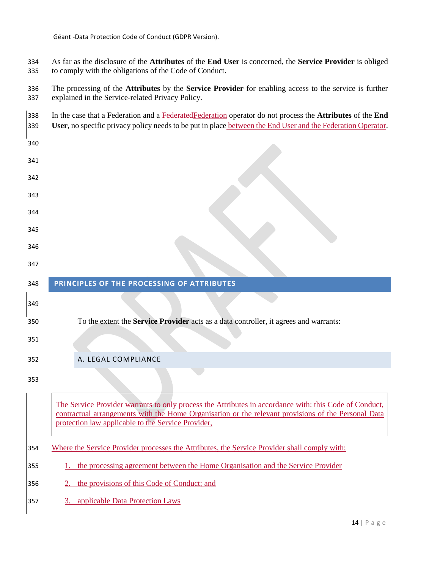As far as the disclosure of the **Attributes** of the **End User** is concerned, the **Service Provider** is obliged to comply with the obligations of the Code of Conduct.

 The processing of the **Attributes** by the **Service Provider** for enabling access to the service is further explained in the Service-related Privacy Policy.

<span id="page-13-0"></span>

| 338<br>339 | In the case that a Federation and a Federated Federation operator do not process the Attributes of the End<br>User, no specific privacy policy needs to be put in place between the End User and the Federation Operator.                                           |
|------------|---------------------------------------------------------------------------------------------------------------------------------------------------------------------------------------------------------------------------------------------------------------------|
| 340        |                                                                                                                                                                                                                                                                     |
| 341        |                                                                                                                                                                                                                                                                     |
| 342        |                                                                                                                                                                                                                                                                     |
| 343        |                                                                                                                                                                                                                                                                     |
| 344        |                                                                                                                                                                                                                                                                     |
| 345        |                                                                                                                                                                                                                                                                     |
| 346        |                                                                                                                                                                                                                                                                     |
| 347        |                                                                                                                                                                                                                                                                     |
| 348        | PRINCIPLES OF THE PROCESSING OF ATTRIBUTES                                                                                                                                                                                                                          |
| 349        |                                                                                                                                                                                                                                                                     |
| 350        | To the extent the Service Provider acts as a data controller, it agrees and warrants:                                                                                                                                                                               |
| 351        |                                                                                                                                                                                                                                                                     |
| 352        | A. LEGAL COMPLIANCE                                                                                                                                                                                                                                                 |
| 353        |                                                                                                                                                                                                                                                                     |
|            | The Service Provider warrants to only process the Attributes in accordance with: this Code of Conduct,<br>contractual arrangements with the Home Organisation or the relevant provisions of the Personal Data<br>protection law applicable to the Service Provider, |
| 354        | Where the Service Provider processes the Attributes, the Service Provider shall comply with:                                                                                                                                                                        |
| 355        | 1. the processing agreement between the Home Organisation and the Service Provider                                                                                                                                                                                  |

- <span id="page-13-1"></span>2. the provisions of this Code of Conduct; and
- 3. applicable Data Protection Laws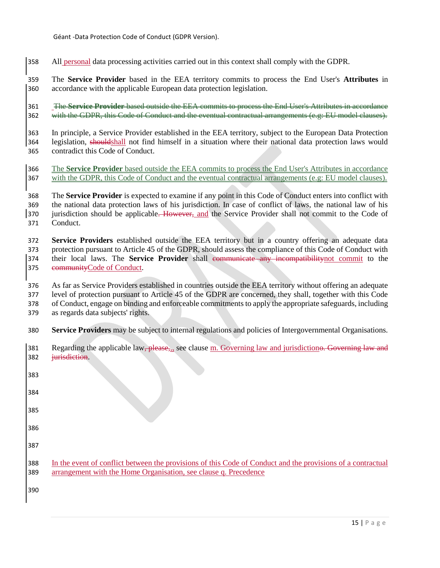- All personal data processing activities carried out in this context shall comply with the GDPR.
- The **Service Provider** based in the EEA territory commits to process the End User's **Attributes** in accordance with the applicable European data protection legislation.

 The **Service Provider** based outside the EEA commits to process the End User's Attributes in accordance 362 with the GDPR, this Code of Conduct and the eventual contractual arrangements (e.g: EU model clauses).

 In principle, a Service Provider established in the EEA territory, subject to the European Data Protection legislation, shouldshall not find himself in a situation where their national data protection laws would contradict this Code of Conduct.

- The **Service Provider** based outside the EEA commits to process the End User's Attributes in accordance 367 with the GDPR, this Code of Conduct and the eventual contractual arrangements (e.g: EU model clauses).
- The **Service Provider** is expected to examine if any point in this Code of Conduct enters into conflict with the national data protection laws of his jurisdiction. In case of conflict of laws, the national law of his 370 jurisdiction should be applicable. However, and the Service Provider shall not commit to the Code of Conduct.

 **Service Providers** established outside the EEA territory but in a country offering an adequate data protection pursuant to Article 45 of the GDPR, should assess the compliance of this Code of Conduct with their local laws. The **Service Provider** shall communicate any incompatibilitynot commit to the communityCode of Conduct.

- As far as Service Providers established in countries outside the EEA territory without offering an adequate level of protection pursuant to Article 45 of the GDPR are concerned, they shall, together with this Code of Conduct, engage on binding and enforceable commitments to apply the appropriate safeguards, including
- as regards data subjects' rights.
- **Service Providers** may be subject to internal regulations and policies of Intergovernmental Organisations.

| 381 | Regarding the applicable law, please, see clause m. Governing law and jurisdictione. Governing law and      |
|-----|-------------------------------------------------------------------------------------------------------------|
| 382 | <i>iurisdiction.</i>                                                                                        |
| 383 |                                                                                                             |
| 384 |                                                                                                             |
| 385 |                                                                                                             |
| 386 |                                                                                                             |
| 387 |                                                                                                             |
| 388 | In the event of conflict between the provisions of this Code of Conduct and the provisions of a contractual |
| 389 | arrangement with the Home Organisation, see clause q. Precedence                                            |
| 390 |                                                                                                             |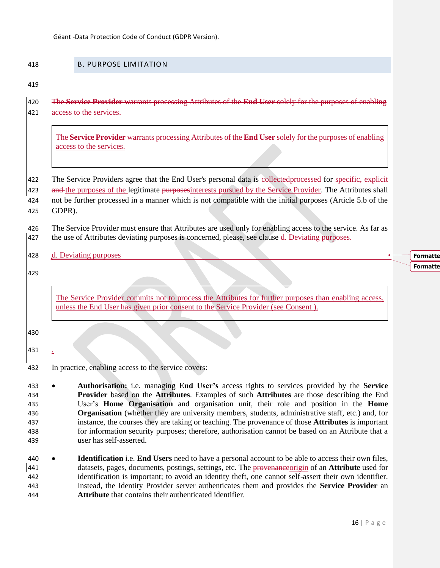**Attribute** that contains their authenticated identifier.

<span id="page-15-0"></span>

| 418                                           | <b>B. PURPOSE LIMITATION</b>                                                                                                                                                                                                                                                                                                                                                                                                                                                                                                                                                                                                                            |
|-----------------------------------------------|---------------------------------------------------------------------------------------------------------------------------------------------------------------------------------------------------------------------------------------------------------------------------------------------------------------------------------------------------------------------------------------------------------------------------------------------------------------------------------------------------------------------------------------------------------------------------------------------------------------------------------------------------------|
| 419                                           |                                                                                                                                                                                                                                                                                                                                                                                                                                                                                                                                                                                                                                                         |
| 420<br>421                                    | The Service Provider warrants processing Attributes of the End User solely for the purposes of enabling<br>access to the services.                                                                                                                                                                                                                                                                                                                                                                                                                                                                                                                      |
|                                               | The Service Provider warrants processing Attributes of the End User solely for the purposes of enabling<br>access to the services.                                                                                                                                                                                                                                                                                                                                                                                                                                                                                                                      |
| 422<br>423                                    | The Service Providers agree that the End User's personal data is collected processed for specific, explicit<br>and the purposes of the legitimate purposes interests pursued by the Service Provider. The Attributes shall                                                                                                                                                                                                                                                                                                                                                                                                                              |
| 424<br>425                                    | not be further processed in a manner which is not compatible with the initial purposes (Article 5.b of the<br>GDPR).                                                                                                                                                                                                                                                                                                                                                                                                                                                                                                                                    |
| 426<br>427                                    | The Service Provider must ensure that Attributes are used only for enabling access to the service. As far as<br>the use of Attributes deviating purposes is concerned, please, see clause d. Deviating purposes.                                                                                                                                                                                                                                                                                                                                                                                                                                        |
| 428                                           | d. Deviating purposes                                                                                                                                                                                                                                                                                                                                                                                                                                                                                                                                                                                                                                   |
| 429                                           |                                                                                                                                                                                                                                                                                                                                                                                                                                                                                                                                                                                                                                                         |
|                                               | The Service Provider commits not to process the Attributes for further purposes than enabling access,<br>unless the End User has given prior consent to the Service Provider (see Consent).                                                                                                                                                                                                                                                                                                                                                                                                                                                             |
| 430                                           |                                                                                                                                                                                                                                                                                                                                                                                                                                                                                                                                                                                                                                                         |
| 431                                           |                                                                                                                                                                                                                                                                                                                                                                                                                                                                                                                                                                                                                                                         |
| 432                                           | In practice, enabling access to the service covers:                                                                                                                                                                                                                                                                                                                                                                                                                                                                                                                                                                                                     |
| 433<br>434<br>435<br>436<br>437<br>438<br>439 | Authorisation: i.e. managing End User's access rights to services provided by the Service<br><b>Provider</b> based on the <b>Attributes</b> . Examples of such <b>Attributes</b> are those describing the End<br>User's Home Organisation and organisation unit, their role and position in the Home<br><b>Organisation</b> (whether they are university members, students, administrative staff, etc.) and, for<br>instance, the courses they are taking or teaching. The provenance of those Attributes is important<br>for information security purposes; therefore, authorisation cannot be based on an Attribute that a<br>user has self-asserted. |
| 440<br>441<br>442<br>443                      | <b>Identification</b> i.e. <b>End Users</b> need to have a personal account to be able to access their own files,<br>datasets, pages, documents, postings, settings, etc. The provenance origin of an <b>Attribute</b> used for<br>identification is important; to avoid an identity theft, one cannot self-assert their own identifier.<br>Instead, the Identity Provider server authenticates them and provides the Service Provider an                                                                                                                                                                                                               |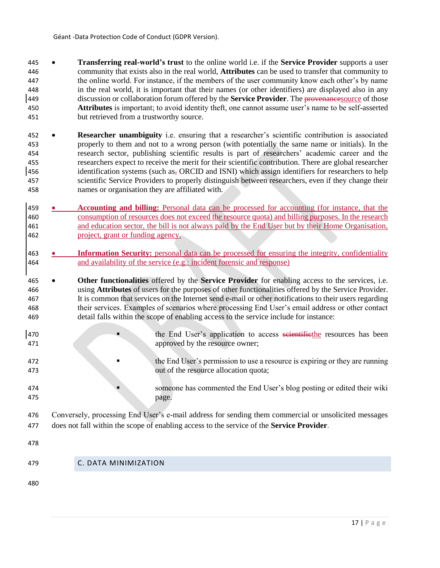- **Transferring real-world's trust** to the online world i.e. if the **Service Provider** supports a user community that exists also in the real world, **Attributes** can be used to transfer that community to the online world. For instance, if the members of the user community know each other's by name in the real world, it is important that their names (or other identifiers) are displayed also in any discussion or collaboration forum offered by the **Service Provider**. The provenancesource of those **Attributes** is important; to avoid identity theft, one cannot assume user's name to be self-asserted but retrieved from a trustworthy source.
- **Researcher unambiguity** i.e. ensuring that a researcher's scientific contribution is associated properly to them and not to a wrong person (with potentially the same name or initials). In the research sector, publishing scientific results is part of researchers' academic career and the researchers expect to receive the merit for their scientific contribution. There are global researcher 456 identification systems (such as<sub> $<sub>5</sub>$ </sub> ORCID and ISNI) which assign identifiers for researchers to help</sub> scientific Service Providers to properly distinguish between researchers, even if they change their names or organisation they are affiliated with.
- **Accounting and billing:** Personal data can be processed for accounting (for instance, that the consumption of resources does not exceed the resource quota) and billing purposes. In the research and education sector, the bill is not always paid by the End User but by their Home Organisation, project, grant or funding agency.
- **Information Security:** personal data can be processed for ensuring the integrity, confidentiality and availability of the service (e.g.: incident forensic and response)
- **Other functionalities** offered by the **Service Provider** for enabling access to the services, i.e. using **Attributes** of users for the purposes of other functionalities offered by the Service Provider. It is common that services on the Internet send e-mail or other notifications to their users regarding their services. Examples of scenarios where processing End User's email address or other contact detail falls within the scope of enabling access to the service include for instance:
- 470 **the End User's application to access <del>scientific</del>the resources has been** 471 approved by the resource owner;
- the End User's permission to use a resource is expiring or they are running out of the resource allocation quota;
- 474 someone has commented the End User's blog posting or edited their wiki page.
- Conversely, processing End User's e-mail address for sending them commercial or unsolicited messages does not fall within the scope of enabling access to the service of the **Service Provider**.
- 
- <span id="page-16-0"></span>C. DATA MINIMIZATION
-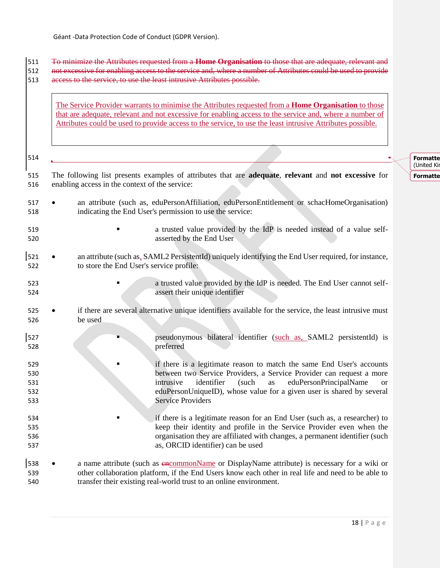To minimize the Attributes requested from a **Home Organisation** to those that are adequate, relevant and 512 not excessive for enabling access to the service and, where a number of Attributes could be used to provide access to the service, to use the least intrusive Attributes possible.

The Service Provider warrants to minimise the Attributes requested from a **Home Organisation** to those that are adequate, relevant and not excessive for enabling access to the service and, where a number of Attributes could be used to provide access to the service, to use the least intrusive Attributes possible.

| 514                             |                                                                                                                                                                                                                                                                                                                                     | Form<br>(Unite |
|---------------------------------|-------------------------------------------------------------------------------------------------------------------------------------------------------------------------------------------------------------------------------------------------------------------------------------------------------------------------------------|----------------|
| 515<br>516                      | The following list presents examples of attributes that are adequate, relevant and not excessive for<br>enabling access in the context of the service:                                                                                                                                                                              | Form           |
| 517<br>518                      | an attribute (such as, eduPersonAffiliation, eduPersonEntitlement or schacHomeOrganisation)<br>indicating the End User's permission to use the service:                                                                                                                                                                             |                |
| 519<br>520                      | a trusted value provided by the IdP is needed instead of a value self-<br>asserted by the End User                                                                                                                                                                                                                                  |                |
| 521<br>522                      | an attribute (such as, SAML2 PersistentId) uniquely identifying the End User required, for instance,<br>to store the End User's service profile:                                                                                                                                                                                    |                |
| 523<br>524                      | a trusted value provided by the IdP is needed. The End User cannot self-<br>assert their unique identifier                                                                                                                                                                                                                          |                |
| 525<br>526                      | if there are several alternative unique identifiers available for the service, the least intrusive must<br>be used                                                                                                                                                                                                                  |                |
| 527<br>528                      | pseudonymous bilateral identifier (such as, SAML2 persistentId) is<br>preferred                                                                                                                                                                                                                                                     |                |
| 529<br>530<br>531<br>532<br>533 | if there is a legitimate reason to match the same End User's accounts<br>between two Service Providers, a Service Provider can request a more<br>eduPersonPrincipalName<br>intrusive<br>identifier<br>(such<br>as<br><b>or</b><br>eduPersonUniqueID), whose value for a given user is shared by several<br><b>Service Providers</b> |                |
| 534<br>535<br>536<br>537        | if there is a legitimate reason for an End User (such as, a researcher) to<br>keep their identity and profile in the Service Provider even when the<br>organisation they are affiliated with changes, a permanent identifier (such<br>as, ORCID identifier) can be used                                                             |                |
| 538<br>539<br>540               | a name attribute (such as encommonName or DisplayName attribute) is necessary for a wiki or<br>other collaboration platform, if the End Users know each other in real life and need to be able to<br>transfer their existing real-world trust to an online environment.                                                             |                |

**Formatte** ed Kin

**natte**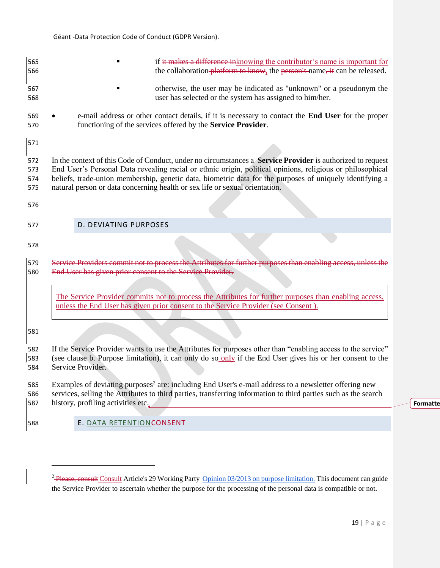<span id="page-18-1"></span> $\overline{a}$ 

<span id="page-18-0"></span>

| 565 | if it makes a difference in knowing the contributor's name is important for                                                                                                                 |
|-----|---------------------------------------------------------------------------------------------------------------------------------------------------------------------------------------------|
| 566 | the collaboration-platform to know, the person's name, it can be released.                                                                                                                  |
| 567 | otherwise, the user may be indicated as "unknown" or a pseudonym the                                                                                                                        |
| 568 | user has selected or the system has assigned to him/her.                                                                                                                                    |
| 569 | e-mail address or other contact details, if it is necessary to contact the End User for the proper                                                                                          |
| 570 | functioning of the services offered by the Service Provider.                                                                                                                                |
| 571 |                                                                                                                                                                                             |
| 572 | In the context of this Code of Conduct, under no circumstances a <b>Service Provider</b> is authorized to request                                                                           |
| 573 | End User's Personal Data revealing racial or ethnic origin, political opinions, religious or philosophical                                                                                  |
| 574 | beliefs, trade-union membership, genetic data, biometric data for the purposes of uniquely identifying a                                                                                    |
| 575 | natural person or data concerning health or sex life or sexual orientation.                                                                                                                 |
| 576 |                                                                                                                                                                                             |
| 577 | <b>D. DEVIATING PURPOSES</b>                                                                                                                                                                |
| 578 |                                                                                                                                                                                             |
| 579 | Service Providers commit not to process the Attributes for further purposes than enabling access, unless the                                                                                |
| 580 | End User has given prior consent to the Service Provider.                                                                                                                                   |
|     | The Service Provider commits not to process the Attributes for further purposes than enabling access,<br>unless the End User has given prior consent to the Service Provider (see Consent). |
| 581 |                                                                                                                                                                                             |
| 582 | If the Service Provider wants to use the Attributes for purposes other than "enabling access to the service"                                                                                |
| 583 | (see clause b. Purpose limitation), it can only do so only if the End User gives his or her consent to the                                                                                  |
| 584 | Service Provider.                                                                                                                                                                           |
| 585 | Examples of deviating purposes <sup>2</sup> are: including End User's e-mail address to a newsletter offering new                                                                           |
| 586 | services, selling the Attributes to third parties, transferring information to third parties such as the search                                                                             |
| 587 | history, profiling activities etc.                                                                                                                                                          |
| 588 | E. DATA RETENTIONCONSENT                                                                                                                                                                    |

| P a g e

**Formatte** 

<sup>&</sup>lt;sup>2</sup> Please, consult Consult Article's 29 Working Party [Opinion 03/2013 on purpose limitation.](http://ec.europa.eu/justice/data-protection/article-29/documentation/opinion-recommendation/files/2013/wp203_en.pdf) This document can guide the Service Provider to ascertain whether the purpose for the processing of the personal data is compatible or not.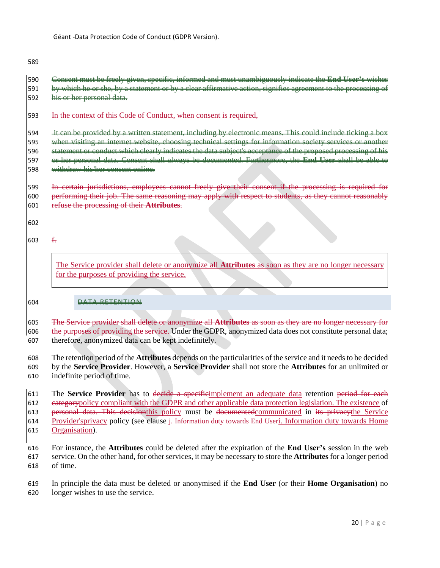Consent must be freely given, specific, informed and must unambiguously indicate the **End User's** wishes 591 by which he or she, by a statement or by a clear affirmative action, signifies agreement to the processing of 592 his or her personal data.

593 In the context of this Code of Conduct, when consent is required,

594 it can be provided by a written statement, including by electronic means. This could include ticking a box 595 when visiting an internet website, choosing technical settings for information society services or another 596 statement or conduct which clearly indicates the data subject's acceptance of the proposed processing of his or her personal data. Consent shall always be documented. Furthermore, the **End User** shall be able to withdraw his/her consent online.

 In certain jurisdictions, employees cannot freely give their consent if the processing is required for performing their job. The same reasoning may apply with respect to students, as they cannot reasonably refuse the processing of their **Attributes**.

603  $f_{\tau}$ 

The Service provider shall delete or anonymize all **Attributes** as soon as they are no longer necessary for the purposes of providing the service.

#### DATA RETENTION

 The Service provider shall delete or anonymize all **Attributes** as soon as they are no longer necessary for 606 the purposes of providing the service. Under the GDPR, anonymized data does not constitute personal data;

therefore, anonymized data can be kept indefinitely.

The retention period of the **Attributes** depends on the particularities of the service and it needs to be decided

by the **Service Provider**. However, a **Service Provider** shall not store the **Attributes** for an unlimited or

indefinite period of time.

 The **Service Provider** has to decide a specificimplement an adequate data retention period for each 612 eategorypolicy compliant with the GDPR and other applicable data protection legislation. The existence of personal data. This decisionthis policy must be documentedcommunicated in its privacythe Service 614 Provider's privacy policy (see clause i<del>. Information duty towards End User</del>i. Information duty towards Home [Organisation\)](#page-24-0).

 For instance, the **Attributes** could be deleted after the expiration of the **End User's** session in the web service. On the other hand, for other services, it may be necessary to store the **Attributes** for a longer period of time.

 In principle the data must be deleted or anonymised if the **End User** (or their **Home Organisation**) no longer wishes to use the service.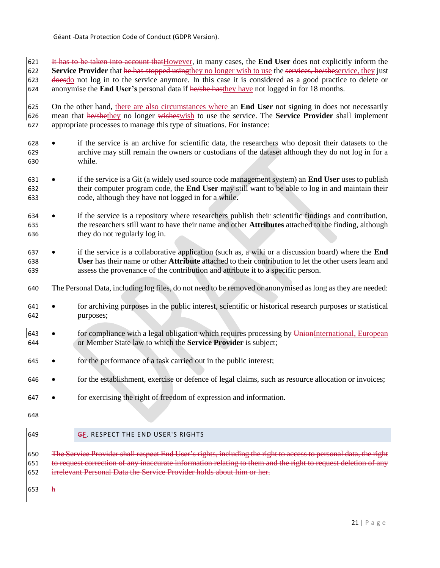It has to be taken into account thatHowever, in many cases, the **End User** does not explicitly inform the **Service Provider** that he has stopped using they no longer wish to use the services, he/sheservice, they just 623 doesdo not log in to the service anymore. In this case it is considered as a good practice to delete or anonymise the **End User's** personal data if he/she hasthey have not logged in for 18 months.

 On the other hand, there are also circumstances where an **End User** not signing in does not necessarily mean that he/shethey no longer wisheswish to use the service. The **Service Provider** shall implement appropriate processes to manage this type of situations. For instance:

- 628 if the service is an archive for scientific data, the researchers who deposit their datasets to the archive may still remain the owners or custodians of the dataset although they do not log in for a while.
- 631 if the service is a Git (a widely used source code management system) an **End User** uses to publish their computer program code, the **End User** may still want to be able to log in and maintain their code, although they have not logged in for a while.
- 634 if the service is a repository where researchers publish their scientific findings and contribution, the researchers still want to have their name and other **Attributes** attached to the finding, although they do not regularly log in.
- if the service is a collaborative application (such as, a wiki or a discussion board) where the **End User** has their name or other **Attribute** attached to their contribution to let the other users learn and assess the provenance of the contribution and attribute it to a specific person.
- The Personal Data, including log files, do not need to be removed or anonymised as long as they are needed:
- for archiving purposes in the public interest, scientific or historical research purposes or statistical purposes;
- 643 for compliance with a legal obligation which requires processing by UnionInternational, European or Member State law to which the **Service Provider** is subject;
- for the performance of a task carried out in the public interest;
- 646 for the establishment, exercise or defence of legal claims, such as resource allocation or invoices;
- for exercising the right of freedom of expression and information.
- 
- <span id="page-20-0"></span>
- **GF. RESPECT THE END USER'S RIGHTS**

650 The Service Provider shall respect End User's rights, including the right to access to personal data, the right to request correction of any inaccurate information relating to them and the right to request deletion of any irrelevant Personal Data the Service Provider holds about him or her.

h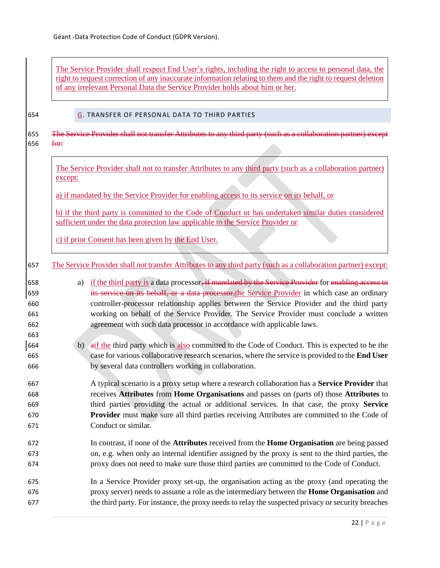<span id="page-21-0"></span> $\blacksquare$ 

|      |         | The Service Provider shall respect End User's rights, including the right to access to personal data, the<br>right to request correction of any inaccurate information relating to them and the right to request deletion<br>of any irrelevant Personal Data the Service Provider holds about him or her. |
|------|---------|-----------------------------------------------------------------------------------------------------------------------------------------------------------------------------------------------------------------------------------------------------------------------------------------------------------|
|      |         | G. TRANSFER OF PERSONAL DATA TO THIRD PARTIES                                                                                                                                                                                                                                                             |
|      |         | The Service Provider shall not transfer Attributes to any third party (such as a collaboration partner) except                                                                                                                                                                                            |
| for: |         |                                                                                                                                                                                                                                                                                                           |
|      |         |                                                                                                                                                                                                                                                                                                           |
|      | except: | The Service Provider shall not to transfer Attributes to any third party (such as a collaboration partner)                                                                                                                                                                                                |
|      |         |                                                                                                                                                                                                                                                                                                           |
|      |         | a) if mandated by the Service Provider for enabling access to its service on its behalf, or                                                                                                                                                                                                               |
|      |         | b) if the third party is committed to the Code of Conduct or has undertaken similar duties considered                                                                                                                                                                                                     |
|      |         | sufficient under the data protection law applicable to the Service Provider or                                                                                                                                                                                                                            |
|      |         |                                                                                                                                                                                                                                                                                                           |
|      |         | c) if prior Consent has been given by the End User.                                                                                                                                                                                                                                                       |
|      |         | The Service Provider shall not transfer Attributes to any third party (such as a collaboration partner) except:                                                                                                                                                                                           |
|      |         |                                                                                                                                                                                                                                                                                                           |
|      | a)      | if the third party is a data processor, if mandated by the Service Provider for enabling access to                                                                                                                                                                                                        |
|      |         | its service on its behalf, or a data processor, the Service Provider in which case an ordinary                                                                                                                                                                                                            |
|      |         | controller-processor relationship applies between the Service Provider and the third party                                                                                                                                                                                                                |
|      |         | working on behalf of the Service Provider. The Service Provider must conclude a written                                                                                                                                                                                                                   |
|      |         | agreement with such data processor in accordance with applicable laws.                                                                                                                                                                                                                                    |
|      | b)      | aif the third party which is also committed to the Code of Conduct. This is expected to be the                                                                                                                                                                                                            |
|      |         | case for various collaborative research scenarios, where the service is provided to the End User                                                                                                                                                                                                          |
|      |         | by several data controllers working in collaboration.                                                                                                                                                                                                                                                     |
|      |         | A typical scenario is a proxy setup where a research collaboration has a Service Provider that                                                                                                                                                                                                            |
|      |         | receives Attributes from Home Organisations and passes on (parts of) those Attributes to                                                                                                                                                                                                                  |
|      |         | third parties providing the actual or additional services. In that case, the proxy Service                                                                                                                                                                                                                |
|      |         | <b>Provider</b> must make sure all third parties receiving Attributes are committed to the Code of                                                                                                                                                                                                        |
|      |         | Conduct or similar.                                                                                                                                                                                                                                                                                       |
|      |         | In contrast, if none of the <b>Attributes</b> received from the <b>Home Organisation</b> are being passed                                                                                                                                                                                                 |
|      |         | on, e.g. when only an internal identifier assigned by the proxy is sent to the third parties, the                                                                                                                                                                                                         |
|      |         | proxy does not need to make sure those third parties are committed to the Code of Conduct.                                                                                                                                                                                                                |
|      |         | In a Service Provider proxy set-up, the organisation acting as the proxy (and operating the                                                                                                                                                                                                               |
|      |         | proxy server) needs to assume a role as the intermediary between the <b>Home Organisation</b> and                                                                                                                                                                                                         |
|      |         | the third party. For instance, the proxy needs to relay the suspected privacy or security breaches                                                                                                                                                                                                        |

J.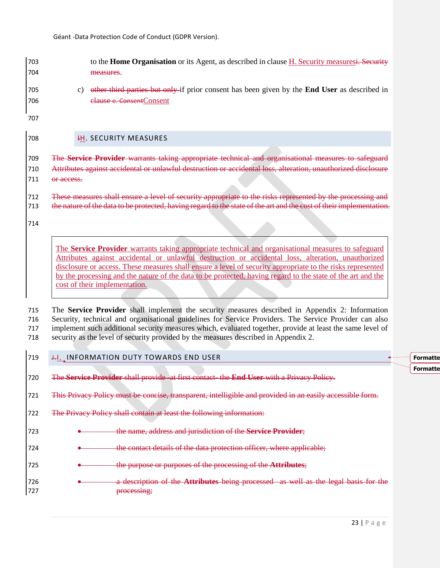| 703               |    | to the <b>Home Organisation</b> or its Agent, as described in clause H. Security measuresi. Security                             |
|-------------------|----|----------------------------------------------------------------------------------------------------------------------------------|
| 704               |    | measures.                                                                                                                        |
| 705<br>706<br>707 | C) | other third parties but only if prior consent has been given by the <b>End User</b> as described in<br>elause e. Consent Consent |
|                   |    |                                                                                                                                  |
| 708               |    | <b>H. SECURITY MEASURES</b>                                                                                                      |

<span id="page-22-0"></span> The **Service Provider** warrants taking appropriate technical and organisational measures to safeguard Attributes against accidental or unlawful destruction or accidental loss, alteration, unauthorized disclosure 711 or access.

 These measures shall ensure a level of security appropriate to the risks represented by the processing and 713 the nature of the data to be protected, having regard to the state of the art and the cost of their implementation.

The **Service Provider** warrants taking appropriate technical and organisational measures to safeguard Attributes against accidental or unlawful destruction or accidental loss, alteration, unauthorized disclosure or access. These measures shall ensure a level of security appropriate to the risks represented by the processing and the nature of the data to be protected, having regard to the state of the art and the cost of their implementation.

 The **Service Provider** shall implement the security measures described in [Appendix 2: Information](#page-39-0)  [Security, technical and organisational guidelines for Service Providers.](#page-39-0) The Service Provider can also implement such additional security measures which, evaluated together, provide at least the same level of security as the level of security provided by the measures described in Appendix 2.

#### <span id="page-22-1"></span>**J.I.** INFORMATION DUTY TOWARDS END USER

The **Service Provider** shall provide -at first contact- the **End User** with a Privacy Policy.

This Privacy Policy must be concise, transparent, intelligible and provided in an easily accessible form.

The Privacy Policy shall contain at least the following information:

the name, address and jurisdiction of the **Service Provider**;

**Example 20** the contact details of the data protection officer, where applicable;

the purpose or purposes of the processing of the **Attributes**;

 a description of the **Attributes** being processed as well as the legal basis for the processing;

**Formatte Formatte**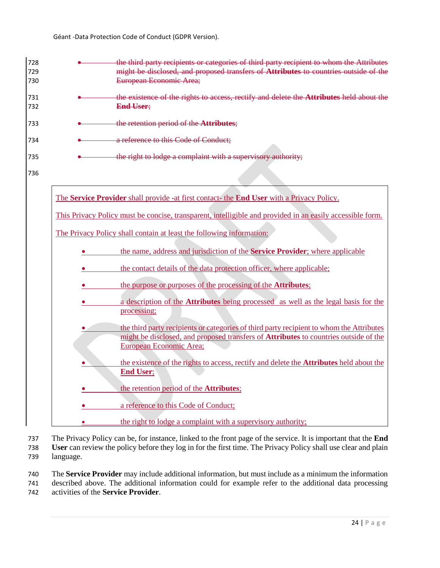

737 The Privacy Policy can be, for instance, linked to the front page of the service. It is important that the **End**  738 **User** can review the policy before they log in for the first time. The Privacy Policy shall use clear and plain 739 language.

740 The **Service Provider** may include additional information, but must include as a minimum the information 741 described above. The additional information could for example refer to the additional data processing

742 activities of the **Service Provider**.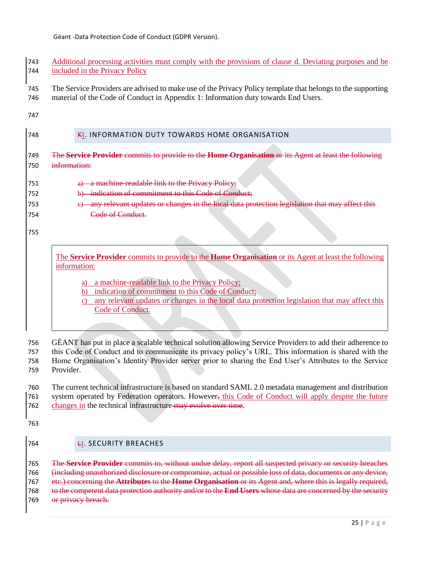| 743 | Additional processing activities must comply with the provisions of clause d. Deviating purposes and be |
|-----|---------------------------------------------------------------------------------------------------------|
|     | 744 included in the Privacy Policy                                                                      |

 The Service Providers are advised to make use of the Privacy Policy template that belongs to the supporting material of the Code of Conduct in [Appendix 1: Information duty towards End Users.](#page-31-0)

## <span id="page-24-0"></span>**KI. INFORMATION DUTY TOWARDS HOME ORGANISATION**

- The **Service Provider** commits to provide to the **Home Organisation** or its Agent at least the following information:
- **a** a machine-readable link to the Privacy Policy; 752 b) indication of commitment to this Code of Conduct; c) any relevant updates or changes in the local data protection legislation that may affect this Code of Conduct.

The **Service Provider** commits to provide to the **Home Organisation** or its Agent at least the following information:

- a) a machine-readable link to the Privacy Policy;
- b) indication of commitment to this Code of Conduct;
- c) any relevant updates or changes in the local data protection legislation that may affect this Code of Conduct.

 GÉANT has put in place a scalable technical solution allowing Service Providers to add their adherence to this Code of Conduct and to communicate its privacy policy's URL. This information is shared with the

 Home Organisation's Identity Provider server prior to sharing the End User's Attributes to the Service Provider.

 The current technical infrastructure is based on standard SAML 2.0 metadata management and distribution 761 system operated by Federation operators. However, this Code of Conduct will apply despite the future 762 changes in the technical infrastructure may evolve over time.

- 
- <span id="page-24-1"></span>LJ. SECURITY BREACHES

 The **Service Provider** commits to, without undue delay, report all suspected privacy or security breaches (including unauthorized disclosure or compromise, actual or possible loss of data, documents or any device, etc.) concerning the **Attributes** to the **Home Organisation** or its Agent and, where this is legally required, to the competent data protection authority and/or to the **End Users** whose data are concerned by the security 769 or privacy breach.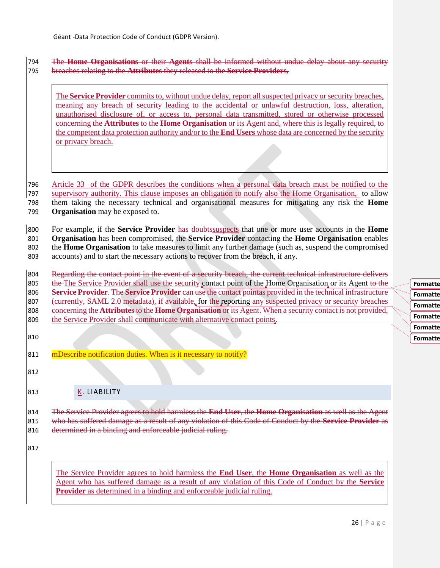## 794 The **Home Organisations** or their **Agents** shall be informed without undue delay about any security 795 breaches relating to the **Attributes** they released to the **Service Providers**,

The **Service Provider** commits to, without undue delay, report all suspected privacy or security breaches, meaning any breach of security leading to the accidental or unlawful destruction, loss, alteration, unauthorised disclosure of, or access to, personal data transmitted, stored or otherwise processed concerning the **Attributes** to the **Home Organisation** or its Agent and, where this is legally required, to the competent data protection authority and/or to the **End Users** whose data are concerned by the security or privacy breach.

 Article 33 of the GDPR describes the conditions when a personal data breach must be notified to the supervisory authority. This clause imposes an obligation to notify also the Home Organisation, to allow them taking the necessary technical and organisational measures for mitigating any risk the **Home Organisation** may be exposed to.

 For example, if the **Service Provider** has doubtssuspects that one or more user accounts in the **Home Organisation** has been compromised, the **Service Provider** contacting the **Home Organisation** enables the **Home Organisation** to take measures to limit any further damage (such as, suspend the compromised accounts) and to start the necessary actions to recover from the breach, if any.

804 Regarding the contact point in the event of a security breach, the current technical infrastructure delivers 805 the The Service Provider shall use the security contact point of the Home Organisation or its Agent to the 806 **Service Provider**. The **Service Provider** can use the contact pointas provided in the technical infrastructure 807 (currently, SAML 2.0 metadata), if available, for the reporting any suspected privacy or security breaches 808 concerning the **Attributes** to the **Home Organisation** or its Agent. When a security contact is not provided, 809 the Service Provider shall communicate with alternative contact points.

- 810
- 811 mBescribe notification duties. When is it necessary to notify?
- 812
- 
- <span id="page-25-0"></span>813 K. LIABILITY

814 The Service Provider agrees to hold harmless the **End User**, the **Home Organisation** as well as the Agent 815 who has suffered damage as a result of any violation of this Code of Conduct by the **Service Provider** as 816 determined in a binding and enforceable judicial ruling.

817

The Service Provider agrees to hold harmless the **End User**, the **Home Organisation** as well as the Agent who has suffered damage as a result of any violation of this Code of Conduct by the **Service Provider** as determined in a binding and enforceable judicial ruling.

**Formatte Formatte Formatte Formatte Formatte Formatte**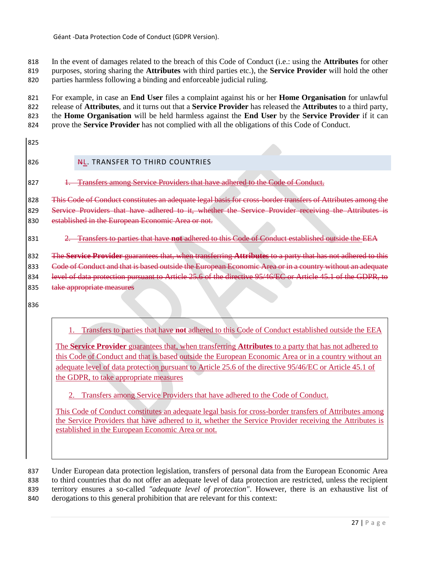818 In the event of damages related to the breach of this Code of Conduct (i.e.: using the **Attributes** for other 819 purposes, storing sharing the **Attributes** with third parties etc.), the **Service Provider** will hold the other 820 parties harmless following a binding and enforceable judicial ruling.

 For example, in case an **End User** files a complaint against his or her **Home Organisation** for unlawful release of **Attributes**, and it turns out that a **Service Provider** has released the **Attributes** to a third party, the **Home Organisation** will be held harmless against the **End User** by the **Service Provider** if it can prove the **Service Provider** has not complied with all the obligations of this Code of Conduct.

<span id="page-26-0"></span>825

# 826 NL. TRANSFER TO THIRD COUNTRIES

827 1. Transfers among Service Providers that have adhered to the Code of Conduct.

828 This Code of Conduct constitutes an adequate legal basis for cross-border transfers of Attributes among the 829 Service Providers that have adhered to it, whether the Service Provider receiving the Attributes is 830 established in the European Economic Area or not.

# 831 2. Transfers to parties that have **not** adhered to this Code of Conduct established outside the EEA

832 The **Service Provider** guarantees that, when transferring **Attributes** to a party that has not adhered to this 833 Code of Conduct and that is based outside the European Economic Area or in a country without an adequate 834 level of data protection pursuant to Article 25.6 of the directive 95/46/EC or Article 45.1 of the GDPR, to 835 take appropriate measures

836

1. Transfers to parties that have **not** adhered to this Code of Conduct established outside the EEA

The **Service Provider** guarantees that, when transferring **Attributes** to a party that has not adhered to this Code of Conduct and that is based outside the European Economic Area or in a country without an adequate level of data protection pursuant to Article 25.6 of the directive 95/46/EC or Article 45.1 of the GDPR, to take appropriate measures

2. Transfers among Service Providers that have adhered to the Code of Conduct.

This Code of Conduct constitutes an adequate legal basis for cross-border transfers of Attributes among the Service Providers that have adhered to it, whether the Service Provider receiving the Attributes is established in the European Economic Area or not.

 Under European data protection legislation, transfers of personal data from the European Economic Area to third countries that do not offer an adequate level of data protection are restricted, unless the recipient territory ensures a so-called *"adequate level of protection"*. However, there is an exhaustive list of derogations to this general prohibition that are relevant for this context: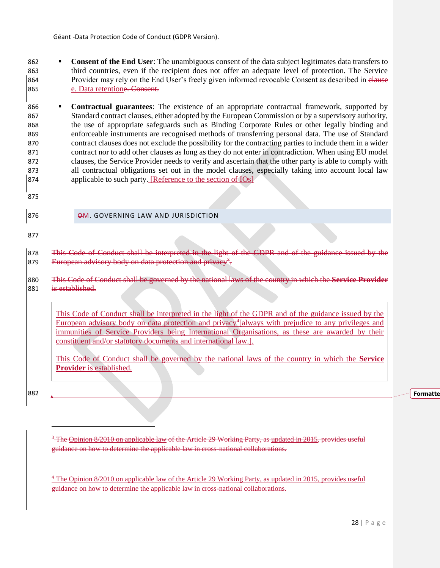- **Consent of the End User**: The unambiguous consent of the data subject legitimates data transfers to 863 third countries, even if the recipient does not offer an adequate level of protection. The Service 864 Provider may rely on the End User's freely given informed revocable Consent as described in clause 865 [e. Data retentione. Consent.](#page-18-1)
- 866 **Contractual guarantees**: The existence of an appropriate contractual framework, supported by 867 Standard contract clauses, either adopted by the European Commission or by a supervisory authority, 868 the use of appropriate safeguards such as Binding Corporate Rules or other legally binding and 869 enforceable instruments are recognised methods of transferring personal data. The use of Standard 870 contract clauses does not exclude the possibility for the contracting parties to include them in a wider 871 contract nor to add other clauses as long as they do not enter in contradiction. When using EU model 872 clauses, the Service Provider needs to verify and ascertain that the other party is able to comply with 873 all contractual obligations set out in the model clauses, especially taking into account local law 874 applicable to such party. [Reference to the section of IOs]
- 875
- 

<span id="page-27-0"></span>876 **OM. GOVERNING LAW AND JURISDICTION** 

877

878 This Code of Conduct shall be interpreted in the light of the GDPR and of the guidance issued by the 879 European advisory body on data protection and privacy<sup>3</sup>.

880 This Code of Conduct shall be governed by the national laws of the country in which the **Service Provider** 881 is established.

This Code of Conduct shall be interpreted in the light of the GDPR and of the guidance issued by the European advisory body on data protection and privacy<sup>4</sup>[always with prejudice to any privileges and immunities of Service Providers being International Organisations, as these are awarded by their constituent and/or statutory documents and international law.].

This Code of Conduct shall be governed by the national laws of the country in which the **Service Provider** is established.

882

 $\overline{a}$ 

**Formatte** 

<sup>3</sup> The Opinion 8/2010 on applicable law of the Article 29 Working Party, as updated in 2015, provides useful guidance on how to determine the applicable law in cross-national collaborations.

<sup>4</sup> Th[e](http://ec.europa.eu/justice/data-protection/article-29/documentation/opinion-recommendation/files/2010/wp179_en.pdf) [Opinion 8/2010 on applicable law](http://ec.europa.eu/justice/data-protection/article-29/documentation/opinion-recommendation/files/2010/wp179_en.pdf) of the Article 29 Working Party, as [updated in 2015,](http://ec.europa.eu/justice/data-protection/article-29/documentation/opinion-recommendation/files/2015/wp179_en_update.pdf) provides useful guidance on how to determine the applicable law in cross-national collaborations.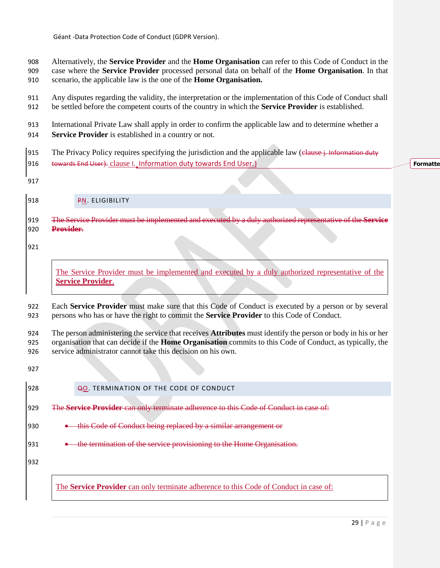Alternatively, the **Service Provider** and the **Home Organisation** can refer to this Code of Conduct in the case where the **Service Provider** processed personal data on behalf of the **Home Organisation**. In that scenario, the applicable law is the one of the **Home Organisation.**

 Any disputes regarding the validity, the interpretation or the implementation of this Code of Conduct shall be settled before the competent courts of the country in which the **Service Provider** is established.

International Private Law shall apply in order to confirm the applicable law and to determine whether a

**Service Provider** is established in a country or not.

915 The Privacy Policy requires specifying the jurisdiction and the applicable law (elause j. Information duty [towards End User](#page-22-1)). clause I. [Information duty towards End User](#page-22-1).)

**Formatte** 

<span id="page-28-0"></span>**PN. ELIGIBILITY** 

 The Service Provider must be implemented and executed by a duly authorized representative of the **Service Provider**.

The Service Provider must be implemented and executed by a duly authorized representative of the **Service Provider**.

 Each **Service Provider** must make sure that this Code of Conduct is executed by a person or by several persons who has or have the right to commit the **Service Provider** to this Code of Conduct.

 The person administering the service that receives **Attributes** must identify the person or body in his or her organisation that can decide if the **Home Organisation** commits to this Code of Conduct, as typically, the service administrator cannot take this decision on his own.

<span id="page-28-1"></span>

| 928 | QO. TERMINATION OF THE CODE OF CONDUCT                                                       |
|-----|----------------------------------------------------------------------------------------------|
| 929 | The Service Provider can only terminate adherence to this Code of Conduct in case of:        |
| 930 | this Code of Conduct being replaced by a similar arrangement or                              |
| 931 | the termination of the service provisioning to the Home Organisation.                        |
| 932 |                                                                                              |
|     | The <b>Service Provider</b> can only terminate adherence to this Code of Conduct in case of: |
|     |                                                                                              |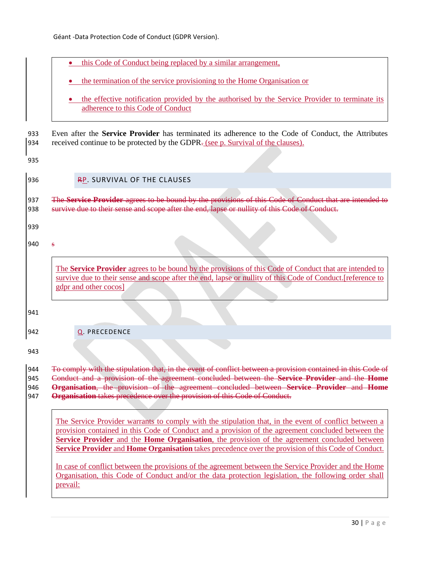<span id="page-29-1"></span><span id="page-29-0"></span>

| the termination of the service provisioning to the Home Organisation or<br>the effective notification provided by the authorised by the Service Provider to terminate its<br>adherence to this Code of Conduct<br>received continue to be protected by the GDPR- (see p. Survival of the clauses).<br>RP. SURVIVAL OF THE CLAUSES<br>survive due to their sense and scope after the end, lapse or nullity of this Code of Conduct.<br>$\mathbf{s}$<br>The Service Provider agrees to be bound by the provisions of this Code of Conduct that are intended to<br>survive due to their sense and scope after the end, lapse or nullity of this Code of Conduct. [reference to<br>gdpr and other cocos]<br>Q. PRECEDENCE         | this Code of Conduct being replaced by a similar arrangement, |
|-------------------------------------------------------------------------------------------------------------------------------------------------------------------------------------------------------------------------------------------------------------------------------------------------------------------------------------------------------------------------------------------------------------------------------------------------------------------------------------------------------------------------------------------------------------------------------------------------------------------------------------------------------------------------------------------------------------------------------|---------------------------------------------------------------|
| Even after the <b>Service Provider</b> has terminated its adherence to the Code of Conduct, the Attributes<br>The Service Provider agrees to be bound by the provisions of this Code of Conduct that are intended to                                                                                                                                                                                                                                                                                                                                                                                                                                                                                                          |                                                               |
|                                                                                                                                                                                                                                                                                                                                                                                                                                                                                                                                                                                                                                                                                                                               |                                                               |
|                                                                                                                                                                                                                                                                                                                                                                                                                                                                                                                                                                                                                                                                                                                               |                                                               |
|                                                                                                                                                                                                                                                                                                                                                                                                                                                                                                                                                                                                                                                                                                                               |                                                               |
|                                                                                                                                                                                                                                                                                                                                                                                                                                                                                                                                                                                                                                                                                                                               |                                                               |
|                                                                                                                                                                                                                                                                                                                                                                                                                                                                                                                                                                                                                                                                                                                               |                                                               |
|                                                                                                                                                                                                                                                                                                                                                                                                                                                                                                                                                                                                                                                                                                                               |                                                               |
|                                                                                                                                                                                                                                                                                                                                                                                                                                                                                                                                                                                                                                                                                                                               |                                                               |
|                                                                                                                                                                                                                                                                                                                                                                                                                                                                                                                                                                                                                                                                                                                               |                                                               |
| <b>Organisation</b> takes precedence over the provision of this Code of Conduct.                                                                                                                                                                                                                                                                                                                                                                                                                                                                                                                                                                                                                                              |                                                               |
| To comply with the stipulation that, in the event of conflict between a provision contained in this Code of<br>Conduct and a provision of the agreement concluded between the Service Provider and the Home<br>Organisation, the provision of the agreement concluded between Service Provider and Home<br>The Service Provider warrants to comply with the stipulation that, in the event of conflict between a<br>provision contained in this Code of Conduct and a provision of the agreement concluded between the<br>Service Provider and the Home Organisation, the provision of the agreement concluded between<br>Service Provider and Home Organisation takes precedence over the provision of this Code of Conduct. |                                                               |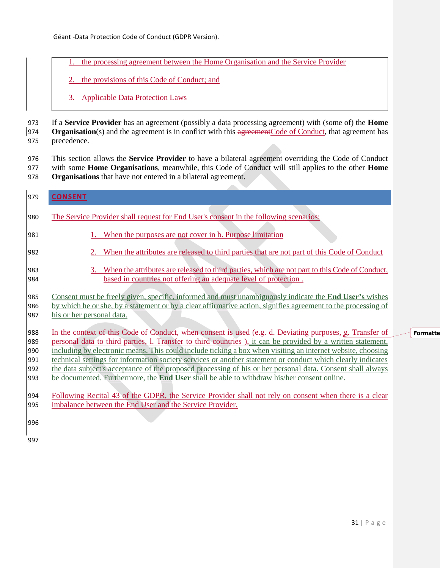- the processing agreement between the Home Organisation and the Service Provider
- 2. the provisions of this Code of Conduct; and
- 3. Applicable Data Protection Laws

973 If a **Service Provider** has an agreement (possibly a data processing agreement) with (some of) the **Home**  974 **Organisation**(s) and the agreement is in conflict with this agreement Code of Conduct, that agreement has 975 precedence.

976 This section allows the **Service Provider** to have a bilateral agreement overriding the Code of Conduct 977 with some **Home Organisations**, meanwhile, this Code of Conduct will still applies to the other **Home**  978 **Organisations** that have not entered in a bilateral agreement.

 $\sim$ 

<span id="page-30-0"></span>

| 979        | <b>CONSENT</b>                                                                                                                                                                                                                 |
|------------|--------------------------------------------------------------------------------------------------------------------------------------------------------------------------------------------------------------------------------|
| 980        | The Service Provider shall request for End User's consent in the following scenarios:                                                                                                                                          |
| 981        | When the purposes are not cover in b. Purpose limitation                                                                                                                                                                       |
| 982        | 2. When the attributes are released to third parties that are not part of this Code of Conduct                                                                                                                                 |
| 983        | When the attributes are released to third parties, which are not part to this Code of Conduct,<br>3.                                                                                                                           |
| 984        | based in countries not offering an adequate level of protection.                                                                                                                                                               |
| 985<br>986 | Consent must be freely given, specific, informed and must unambiguously indicate the <b>End User's</b> wishes<br>by which he or she, by a statement or by a clear affirmative action, signifies agreement to the processing of |
| 987        | his or her personal data.                                                                                                                                                                                                      |
| 988        | In the context of this Code of Conduct, when consent is used (e.g. d. Deviating purposes, g. Transfer of                                                                                                                       |
| 989        | personal data to third parties, l. Transfer to third countries), it can be provided by a written statement,                                                                                                                    |
| 990<br>991 | including by electronic means. This could include ticking a box when visiting an internet website, choosing<br>technical settings for information society services or another statement or conduct which clearly indicates     |
| 992        | the data subject's acceptance of the proposed processing of his or her personal data. Consent shall always                                                                                                                     |
| 993        | be documented. Furthermore, the <b>End User</b> shall be able to withdraw his/her consent online.                                                                                                                              |
| 994        | Following Recital 43 of the GDPR, the Service Provider shall not rely on consent when there is a clear                                                                                                                         |
| 995        | imbalance between the End User and the Service Provider.                                                                                                                                                                       |
| 996        |                                                                                                                                                                                                                                |
| 997        |                                                                                                                                                                                                                                |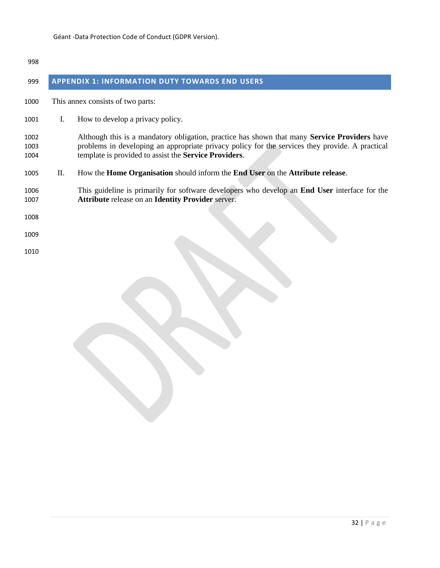<span id="page-31-0"></span>

| 998                  |    |                                                                                                                                                                                                                                                                 |
|----------------------|----|-----------------------------------------------------------------------------------------------------------------------------------------------------------------------------------------------------------------------------------------------------------------|
| 999                  |    | <b>APPENDIX 1: INFORMATION DUTY TOWARDS END USERS</b>                                                                                                                                                                                                           |
| 1000                 |    | This annex consists of two parts:                                                                                                                                                                                                                               |
| 1001                 | Ι. | How to develop a privacy policy.                                                                                                                                                                                                                                |
| 1002<br>1003<br>1004 |    | Although this is a mandatory obligation, practice has shown that many <b>Service Providers</b> have<br>problems in developing an appropriate privacy policy for the services they provide. A practical<br>template is provided to assist the Service Providers. |
| 1005                 | П. | How the <b>Home Organisation</b> should inform the <b>End User</b> on the <b>Attribute release</b> .                                                                                                                                                            |
| 1006<br>1007         |    | This guideline is primarily for software developers who develop an <b>End User</b> interface for the<br><b>Attribute release on an Identity Provider server.</b>                                                                                                |
| 1008                 |    |                                                                                                                                                                                                                                                                 |
| 1009                 |    |                                                                                                                                                                                                                                                                 |
| 1010                 |    |                                                                                                                                                                                                                                                                 |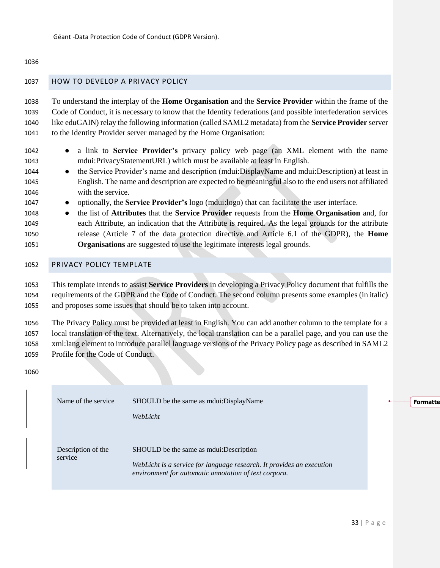## <span id="page-32-0"></span>HOW TO DEVELOP A PRIVACY POLICY

 To understand the interplay of the **Home Organisation** and the **Service Provider** within the frame of the Code of Conduct, it is necessary to know that the Identity federations (and possible interfederation services like eduGAIN) relay the following information (called SAML2 metadata) from the **Service Provider** server to the Identity Provider server managed by the Home Organisation:

- a link to **Service Provider's** privacy policy web page (an XML element with the name mdui:PrivacyStatementURL) which must be available at least in English.
- 1044 the Service Provider's name and description (mdui:DisplayName and mdui:Description) at least in English. The name and description are expected to be meaningful also to the end users not affiliated with the service.
- optionally, the **Service Provider's** logo (mdui:logo) that can facilitate the user interface.
- the list of **Attributes** that the **Service Provider** requests from the **Home Organisation** and, for each Attribute, an indication that the Attribute is required. As the legal grounds for the attribute release (Article 7 of the data protection directive and Article 6.1 of the GDPR), the **Home Organisations** are suggested to use the legitimate interests legal grounds.
- <span id="page-32-1"></span>PRIVACY POLICY TEMPLATE

 This template intends to assist **Service Providers** in developing a Privacy Policy document that fulfills the requirements of the GDPR and the Code of Conduct. The second column presents some examples (in italic) and proposes some issues that should be to taken into account.

 The Privacy Policy must be provided at least in English. You can add another column to the template for a local translation of the text. Alternatively, the local translation can be a parallel page, and you can use the xml:lang element to introduce parallel language versions of the Privacy Policy page as described in SAML2 Profile for the Code of Conduct.

|  | Name of the service           | SHOULD be the same as molui: DisplayName                                                                                       |  | Formatte |
|--|-------------------------------|--------------------------------------------------------------------------------------------------------------------------------|--|----------|
|  |                               | WebLicht                                                                                                                       |  |          |
|  |                               |                                                                                                                                |  |          |
|  | Description of the<br>service | SHOULD be the same as moulest inter-                                                                                           |  |          |
|  |                               | WebLicht is a service for language research. It provides an execution<br>environment for automatic annotation of text corpora. |  |          |
|  |                               |                                                                                                                                |  |          |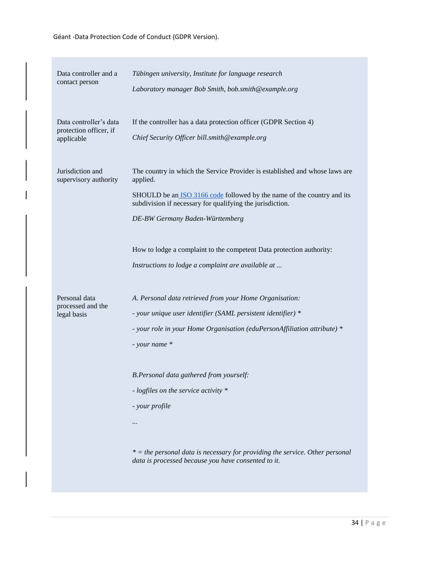| Data controller and a<br>contact person                        | Tübingen university, Institute for language research<br>Laboratory manager Bob Smith, bob.smith@example.org                                                                                                          |
|----------------------------------------------------------------|----------------------------------------------------------------------------------------------------------------------------------------------------------------------------------------------------------------------|
| Data controller's data<br>protection officer, if<br>applicable | If the controller has a data protection officer (GDPR Section 4)<br>Chief Security Officer bill.smith@example.org                                                                                                    |
| Jurisdiction and<br>supervisory authority                      | The country in which the Service Provider is established and whose laws are<br>applied.                                                                                                                              |
|                                                                | SHOULD be an <b>ISO</b> 3166 code followed by the name of the country and its<br>subdivision if necessary for qualifying the jurisdiction.                                                                           |
|                                                                | DE-BW Germany Baden-Württemberg                                                                                                                                                                                      |
|                                                                | How to lodge a complaint to the competent Data protection authority:                                                                                                                                                 |
|                                                                | Instructions to lodge a complaint are available at                                                                                                                                                                   |
| Personal data<br>processed and the<br>legal basis              | A. Personal data retrieved from your Home Organisation:<br>- your unique user identifier (SAML persistent identifier) *<br>- your role in your Home Organisation (eduPersonAffiliation attribute) *<br>- your name * |
|                                                                | B.Personal data gathered from yourself:<br>- logfiles on the service activity *<br>- your profile<br>                                                                                                                |
|                                                                | $* =$ the personal data is necessary for providing the service. Other personal<br>data is processed because you have consented to it.                                                                                |
|                                                                |                                                                                                                                                                                                                      |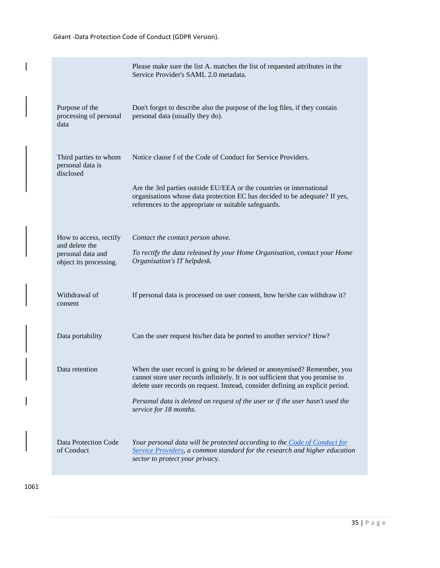|                                                                                         | Please make sure the list A. matches the list of requested attributes in the<br>Service Provider's SAML 2.0 metadata.                                                                                                                        |
|-----------------------------------------------------------------------------------------|----------------------------------------------------------------------------------------------------------------------------------------------------------------------------------------------------------------------------------------------|
| Purpose of the<br>processing of personal<br>data                                        | Don't forget to describe also the purpose of the log files, if they contain<br>personal data (usually they do).                                                                                                                              |
| Third parties to whom<br>personal data is<br>disclosed                                  | Notice clause f of the Code of Conduct for Service Providers.                                                                                                                                                                                |
|                                                                                         | Are the 3rd parties outside EU/EEA or the countries or international<br>organisations whose data protection EC has decided to be adequate? If yes,<br>references to the appropriate or suitable safeguards.                                  |
| How to access, rectify<br>and delete the<br>personal data and<br>object its processing. | Contact the contact person above.<br>To rectify the data released by your Home Organisation, contact your Home<br>Organisation's IT helpdesk.                                                                                                |
| Withdrawal of<br>consent                                                                | If personal data is processed on user consent, how he/she can withdraw it?                                                                                                                                                                   |
| Data portability                                                                        | Can the user request his/her data be ported to another service? How?                                                                                                                                                                         |
| Data retention                                                                          | When the user record is going to be deleted or anonymised? Remember, you<br>cannot store user records infinitely. It is not sufficient that you promise to<br>delete user records on request. Instead, consider defining an explicit period. |
|                                                                                         | Personal data is deleted on request of the user or if the user hasn't used the<br>service for 18 months.                                                                                                                                     |
| Data Protection Code<br>of Conduct                                                      | Your personal data will be protected according to the Code of Conduct for<br>Service Providers, a common standard for the research and higher education<br>sector to protect your privacy.                                                   |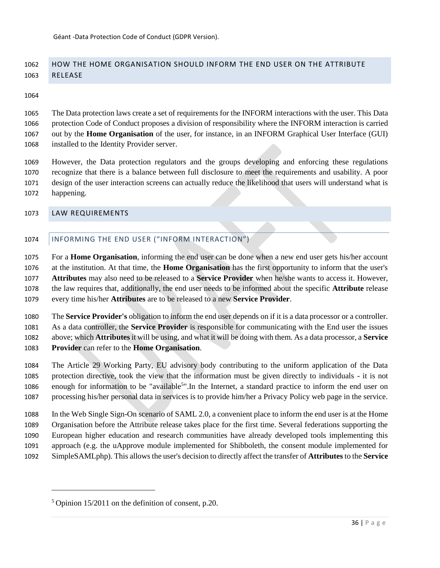# <span id="page-35-0"></span> HOW THE HOME ORGANISATION SHOULD INFORM THE END USER ON THE ATTRIBUTE RELEASE

 The Data protection laws create a set of requirements for the INFORM interactions with the user. This Data protection Code of Conduct proposes a division of responsibility where the INFORM interaction is carried out by the **Home Organisation** of the user, for instance, in an INFORM Graphical User Interface (GUI) installed to the Identity Provider server.

 However, the Data protection regulators and the groups developing and enforcing these regulations recognize that there is a balance between full disclosure to meet the requirements and usability. A poor design of the user interaction screens can actually reduce the likelihood that users will understand what is happening.

#### <span id="page-35-2"></span><span id="page-35-1"></span>LAW REQUIREMENTS

 $\overline{a}$ 

## 1074 | INFORMING THE END USER ("INFORM INTERACTION")

 For a **Home Organisation**, informing the end user can be done when a new end user gets his/her account at the institution. At that time, the **Home Organisation** has the first opportunity to inform that the user's **Attributes** may also need to be released to a **Service Provider** when he/she wants to access it. However, the law requires that, additionally, the end user needs to be informed about the specific **Attribute** release every time his/her **Attributes** are to be released to a new **Service Provider**.

 The **Service Provider's** obligation to inform the end user depends on if it is a data processor or a controller. As a data controller, the **Service Provider** is responsible for communicating with the End user the issues above; which **Attributes** it will be using, and what it will be doing with them. As a data processor, a **Service Provider** can refer to the **Home Organisation**.

 The Article 29 Working Party, EU advisory body contributing to the uniform application of the Data protection directive, took the view that the information must be given directly to individuals - it is not 1086 enough for information to be "available<sup>5</sup>". In the Internet, a standard practice to inform the end user on processing his/her personal data in services is to provide him/her a Privacy Policy web page in the service.

 In the Web Single Sign-On scenario of SAML 2.0, a convenient place to inform the end user is at the Home Organisation before the Attribute release takes place for the first time. Several federations supporting the European higher education and research communities have already developed tools implementing this approach (e.g. the uApprove module implemented for Shibboleth, the consent module implemented for SimpleSAMLphp). This allows the user's decision to directly affect the transfer of **Attributes** to the **Service** 

Opinion 15/2011 on the definition of consent, p.20.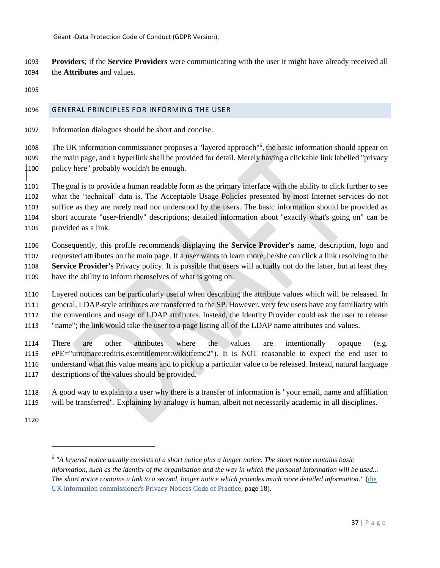**Providers**; if the **Service Providers** were communicating with the user it might have already received all the **Attributes** and values.

# <span id="page-36-0"></span>GENERAL PRINCIPLES FOR INFORMING THE USER

Information dialogues should be short and concise.

1098 The UK information commissioner proposes a "layered approach"<sup>6</sup>, the basic information should appear on the main page, and a hyperlink shall be provided for detail. Merely having a clickable link labelled "privacy policy here" probably wouldn't be enough.

 The goal is to provide a human readable form as the primary interface with the ability to click further to see what the 'technical' data is. The Acceptable Usage Policies presented by most Internet services do not suffice as they are rarely read nor understood by the users. The basic information should be provided as short accurate "user-friendly" descriptions; detailed information about "exactly what's going on" can be provided as a link.

 Consequently, this profile recommends displaying the **Service Provider's** name, description, logo and requested attributes on the main page. If a user wants to learn more, he/she can click a link resolving to the **Service Provider's** Privacy policy. It is possible that users will actually not do the latter, but at least they have the ability to inform themselves of what is going on.

 Layered notices can be particularly useful when describing the attribute values which will be released. In general, LDAP-style attributes are transferred to the SP. However, very few users have any familiarity with the conventions and usage of LDAP attributes. Instead, the Identity Provider could ask the user to release "name"; the link would take the user to a page listing all of the LDAP name attributes and values.

 There are other attributes where the values are intentionally opaque (e.g. ePE="urn:mace:rediris.es:entitlement:wiki:tfemc2"). It is NOT reasonable to expect the end user to understand what this value means and to pick up a particular value to be released. Instead, natural language descriptions of the values should be provided.

 A good way to explain to a user why there is a transfer of information is "your email, name and affiliation will be transferred". Explaining by analogy is human, albeit not necessarily academic in all disciplines.

 $\overline{a}$ 

 *"A layered notice usually consists of a short notice plus a longer notice. The short notice contains basic information, such as the identity of the organisation and the way in which the personal information will be used... The short notice contains a link to a second, longer notice which provides much more detailed information."* [\(the](http://www.ico.gov.uk/for_organisations/data_protection/topic_guides/privacy_notices.aspx)  [UK information commissioner's Privacy Notices Code of Practice,](http://www.ico.gov.uk/for_organisations/data_protection/topic_guides/privacy_notices.aspx) page 18).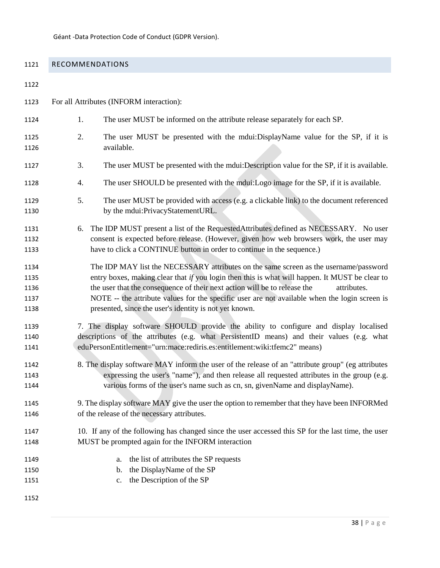# <span id="page-37-0"></span>RECOMMENDATIONS

| 1122                                 |                                                                                                                                                                                                                                                                                                                                                                                                                                                |
|--------------------------------------|------------------------------------------------------------------------------------------------------------------------------------------------------------------------------------------------------------------------------------------------------------------------------------------------------------------------------------------------------------------------------------------------------------------------------------------------|
| 1123                                 | For all Attributes (INFORM interaction):                                                                                                                                                                                                                                                                                                                                                                                                       |
| 1124                                 | 1.<br>The user MUST be informed on the attribute release separately for each SP.                                                                                                                                                                                                                                                                                                                                                               |
| 1125<br>1126                         | 2.<br>The user MUST be presented with the mdui:DisplayName value for the SP, if it is<br>available.                                                                                                                                                                                                                                                                                                                                            |
| 1127                                 | The user MUST be presented with the mdui: Description value for the SP, if it is available.<br>3.                                                                                                                                                                                                                                                                                                                                              |
| 1128                                 | The user SHOULD be presented with the mdui:Logo image for the SP, if it is available.<br>4.                                                                                                                                                                                                                                                                                                                                                    |
| 1129<br>1130                         | 5.<br>The user MUST be provided with access (e.g. a clickable link) to the document referenced<br>by the mdui:PrivacyStatementURL.                                                                                                                                                                                                                                                                                                             |
| 1131<br>1132<br>1133                 | The IDP MUST present a list of the RequestedAttributes defined as NECESSARY. No user<br>6.<br>consent is expected before release. (However, given how web browsers work, the user may<br>have to click a CONTINUE button in order to continue in the sequence.)                                                                                                                                                                                |
| 1134<br>1135<br>1136<br>1137<br>1138 | The IDP MAY list the NECESSARY attributes on the same screen as the username/password<br>entry boxes, making clear that if you login then this is what will happen. It MUST be clear to<br>the user that the consequence of their next action will be to release the<br>attributes.<br>NOTE -- the attribute values for the specific user are not available when the login screen is<br>presented, since the user's identity is not yet known. |
| 1139<br>1140<br>1141                 | 7. The display software SHOULD provide the ability to configure and display localised<br>descriptions of the attributes (e.g. what PersistentID means) and their values (e.g. what<br>eduPersonEntitlement="urn:mace:rediris.es:entitlement:wiki:tfemc2" means)                                                                                                                                                                                |
| 1142<br>1143<br>1144                 | 8. The display software MAY inform the user of the release of an "attribute group" (eg attributes<br>expressing the user's "name"), and then release all requested attributes in the group (e.g.<br>various forms of the user's name such as cn, sn, givenName and displayName).                                                                                                                                                               |
| 1145<br>1146                         | 9. The display software MAY give the user the option to remember that they have been INFORMed<br>of the release of the necessary attributes.                                                                                                                                                                                                                                                                                                   |
| 1147<br>1148                         | 10. If any of the following has changed since the user accessed this SP for the last time, the user<br>MUST be prompted again for the INFORM interaction                                                                                                                                                                                                                                                                                       |
| 1149<br>1150<br>1151<br>1152         | the list of attributes the SP requests<br>a.<br>the DisplayName of the SP<br>b.<br>the Description of the SP<br>$c_{\cdot}$                                                                                                                                                                                                                                                                                                                    |
|                                      |                                                                                                                                                                                                                                                                                                                                                                                                                                                |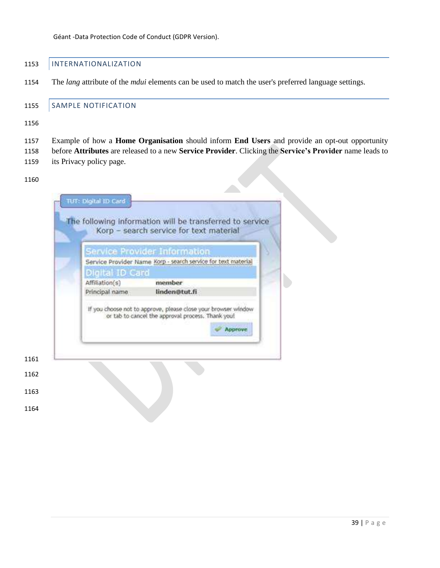# <span id="page-38-0"></span>1153 | INTERNATIONALIZATION

The *lang* attribute of the *mdui* elements can be used to match the user's preferred language settings.

#### <span id="page-38-1"></span>1155 SAMPLE NOTIFICATION

- Example of how a **Home Organisation** should inform **End Users** and provide an opt-out opportunity
- before **Attributes** are released to a new **Service Provider**. Clicking the **Service's Provider** name leads to
- its Privacy policy page.

#### 

| Service Provider Name Korp - search service for text material<br>Digital ID Card<br>member<br>Affiliation(s)<br>linden@tut.fi<br>Principal name<br>If you choose not to approve, please close your browser window<br>or tab to cancel the approval process. Thank you! | Service Provider Information |
|------------------------------------------------------------------------------------------------------------------------------------------------------------------------------------------------------------------------------------------------------------------------|------------------------------|
|                                                                                                                                                                                                                                                                        |                              |
|                                                                                                                                                                                                                                                                        |                              |
|                                                                                                                                                                                                                                                                        |                              |
| Approve                                                                                                                                                                                                                                                                |                              |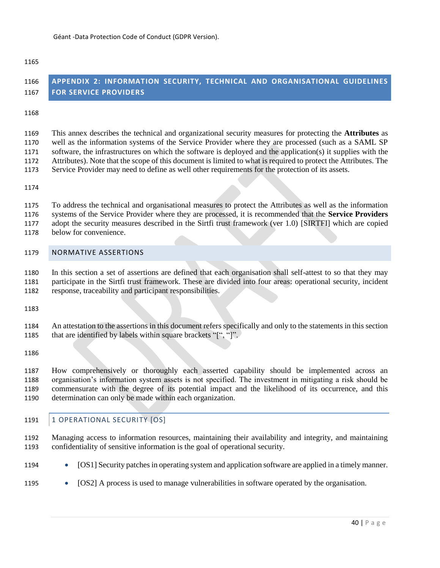#### 

**FOR SERVICE PROVIDERS**

| 1168                                 |                                                                                                                                                                                                                                                                                                                                                                                                                                                                                                                                                       |
|--------------------------------------|-------------------------------------------------------------------------------------------------------------------------------------------------------------------------------------------------------------------------------------------------------------------------------------------------------------------------------------------------------------------------------------------------------------------------------------------------------------------------------------------------------------------------------------------------------|
| 1169<br>1170<br>1171<br>1172<br>1173 | This annex describes the technical and organizational security measures for protecting the Attributes as<br>well as the information systems of the Service Provider where they are processed (such as a SAML SP<br>software, the infrastructures on which the software is deployed and the application(s) it supplies with the<br>Attributes). Note that the scope of this document is limited to what is required to protect the Attributes. The<br>Service Provider may need to define as well other requirements for the protection of its assets. |
| 1174                                 |                                                                                                                                                                                                                                                                                                                                                                                                                                                                                                                                                       |
| 1175<br>1176<br>1177<br>1178         | To address the technical and organisational measures to protect the Attributes as well as the information<br>systems of the Service Provider where they are processed, it is recommended that the Service Providers<br>adopt the security measures described in the Sirtfi trust framework (ver 1.0) [SIRTFI] which are copied<br>below for convenience.                                                                                                                                                                                              |
| 1179                                 | <b>NORMATIVE ASSERTIONS</b>                                                                                                                                                                                                                                                                                                                                                                                                                                                                                                                           |
| 1180<br>1181<br>1182                 | In this section a set of assertions are defined that each organisation shall self-attest to so that they may<br>participate in the Sirtfi trust framework. These are divided into four areas: operational security, incident<br>response, traceability and participant responsibilities.                                                                                                                                                                                                                                                              |
| 1183                                 |                                                                                                                                                                                                                                                                                                                                                                                                                                                                                                                                                       |
| 1184<br>1185                         | An attestation to the assertions in this document refers specifically and only to the statements in this section<br>that are identified by labels within square brackets "[", "]".                                                                                                                                                                                                                                                                                                                                                                    |
| 1186                                 |                                                                                                                                                                                                                                                                                                                                                                                                                                                                                                                                                       |
| 1187<br>1100                         | How comprehensively or thoroughly each asserted capability should be implemented across an<br>examination's information existent essets is not enoughed. The investment in mitiating a right should be                                                                                                                                                                                                                                                                                                                                                |

<span id="page-39-0"></span>**APPENDIX 2: INFORMATION SECURITY, TECHNICAL AND ORGANISATIONAL GUIDELINES** 

<span id="page-39-1"></span> organisation's information system assets is not specified. The investment in mitigating a risk should be commensurate with the degree of its potential impact and the likelihood of its occurrence, and this determination can only be made within each organization.

# <span id="page-39-2"></span>1191 | 1 OPERATIONAL SECURITY [OS]

- Managing access to information resources, maintaining their availability and integrity, and maintaining confidentiality of sensitive information is the goal of operational security.
- 1194 [OS1] Security patches in operating system and application software are applied in a timely manner.
- 1195 [OS2] A process is used to manage vulnerabilities in software operated by the organisation.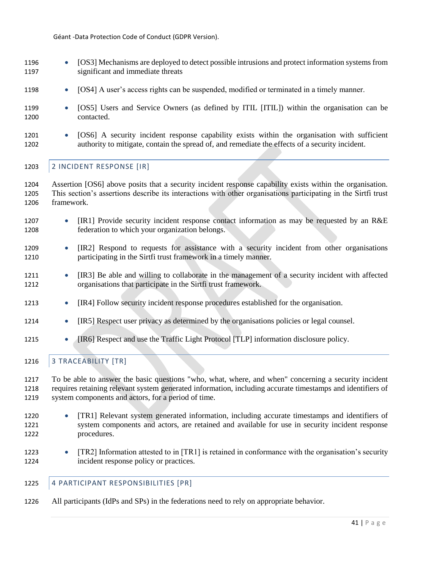- 1196 [OS3] Mechanisms are deployed to detect possible intrusions and protect information systems from 1197 significant and immediate threats
- 1198 [OS4] A user's access rights can be suspended, modified or terminated in a timely manner.
- 1199 [OS5] Users and Service Owners (as defined by ITIL [ITIL]) within the organisation can be 1200 contacted.
- 1201 [OS6] A security incident response capability exists within the organisation with sufficient 1202 authority to mitigate, contain the spread of, and remediate the effects of a security incident.

#### <span id="page-40-0"></span>1203 | 2 INCIDENT RESPONSE [IR]

- 1204 Assertion [OS6] above posits that a security incident response capability exists within the organisation. 1205 This section's assertions describe its interactions with other organisations participating in the Sirtfi trust 1206 framework.
- 1207 [IR1] Provide security incident response contact information as may be requested by an R&E 1208 federation to which your organization belongs.
- 1209 [IR2] Respond to requests for assistance with a security incident from other organisations 1210 participating in the Sirtfi trust framework in a timely manner.
- 1211 [IR3] Be able and willing to collaborate in the management of a security incident with affected 1212 organisations that participate in the Sirtfi trust framework.
- 1213 [IR4] Follow security incident response procedures established for the organisation.
- 1214 [IR5] Respect user privacy as determined by the organisations policies or legal counsel.
- 1215 [IR6] Respect and use the Traffic Light Protocol [TLP] information disclosure policy.
- <span id="page-40-1"></span>1216 | 3 TRACEABILITY [TR]

1217 To be able to answer the basic questions "who, what, where, and when" concerning a security incident 1218 requires retaining relevant system generated information, including accurate timestamps and identifiers of 1219 system components and actors, for a period of time.

- 1220 [TR1] Relevant system generated information, including accurate timestamps and identifiers of 1221 system components and actors, are retained and available for use in security incident response 1222 procedures.
- 1223 [TR2] Information attested to in [TR1] is retained in conformance with the organisation's security 1224 incident response policy or practices.

## <span id="page-40-2"></span>1225 4 PARTICIPANT RESPONSIBILITIES [PR]

1226 All participants (IdPs and SPs) in the federations need to rely on appropriate behavior.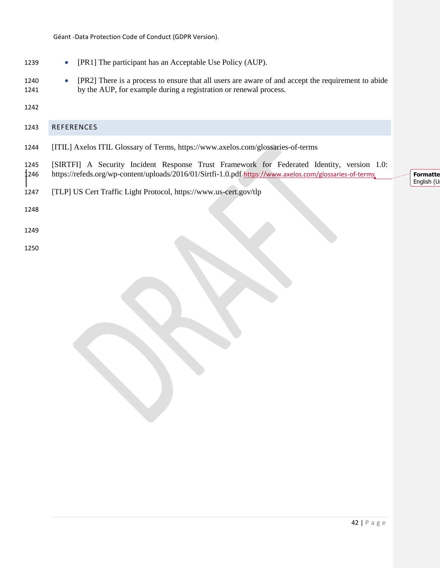1239 • [PR1] The participant has an Acceptable Use Policy (AUP).

[TLP] US Cert Traffic Light Protocol, <https://www.us-cert.gov/tlp>

- 1240 [PR2] There is a process to ensure that all users are aware of and accept the requirement to abide by the AUP, for example during a registration or renewal process.
- 

<span id="page-41-0"></span>

- [ITIL] Axelos ITIL Glossary of Terms, <https://www.axelos.com/glossaries-of-terms>
- [SIRTFI] A Security Incident Response Trust Framework for Federated Identity, version 1.0: <https://refeds.org/wp-content/uploads/2016/01/Sirtfi-1.0.pdf> <https://www.axelos.com/glossaries-of-terms>

**Formatte** English (U

- 
- 
-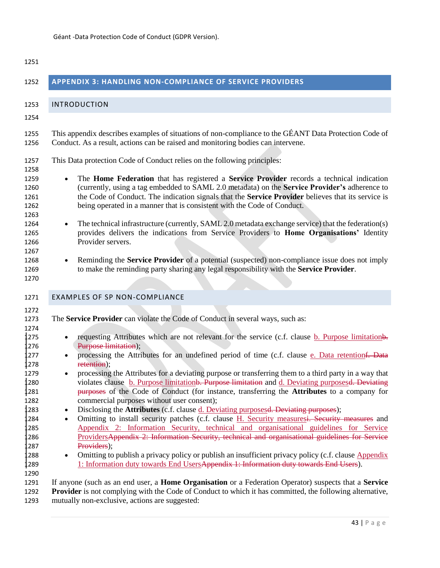<span id="page-42-2"></span><span id="page-42-1"></span><span id="page-42-0"></span>

| 1251                                                                                                                                         |                                                                                                                                                                                                                                                                                                                                                                                                                                                                                                                                                                                                                                                                                                                                                                                                                                                                                                                                                                                                                                                                                                                                                                                                                                                                                                                                                                    |
|----------------------------------------------------------------------------------------------------------------------------------------------|--------------------------------------------------------------------------------------------------------------------------------------------------------------------------------------------------------------------------------------------------------------------------------------------------------------------------------------------------------------------------------------------------------------------------------------------------------------------------------------------------------------------------------------------------------------------------------------------------------------------------------------------------------------------------------------------------------------------------------------------------------------------------------------------------------------------------------------------------------------------------------------------------------------------------------------------------------------------------------------------------------------------------------------------------------------------------------------------------------------------------------------------------------------------------------------------------------------------------------------------------------------------------------------------------------------------------------------------------------------------|
| 1252                                                                                                                                         | <b>APPENDIX 3: HANDLING NON-COMPLIANCE OF SERVICE PROVIDERS</b>                                                                                                                                                                                                                                                                                                                                                                                                                                                                                                                                                                                                                                                                                                                                                                                                                                                                                                                                                                                                                                                                                                                                                                                                                                                                                                    |
| 1253                                                                                                                                         | <b>INTRODUCTION</b>                                                                                                                                                                                                                                                                                                                                                                                                                                                                                                                                                                                                                                                                                                                                                                                                                                                                                                                                                                                                                                                                                                                                                                                                                                                                                                                                                |
| 1254                                                                                                                                         |                                                                                                                                                                                                                                                                                                                                                                                                                                                                                                                                                                                                                                                                                                                                                                                                                                                                                                                                                                                                                                                                                                                                                                                                                                                                                                                                                                    |
| 1255<br>1256                                                                                                                                 | This appendix describes examples of situations of non-compliance to the GÉANT Data Protection Code of<br>Conduct. As a result, actions can be raised and monitoring bodies can intervene.                                                                                                                                                                                                                                                                                                                                                                                                                                                                                                                                                                                                                                                                                                                                                                                                                                                                                                                                                                                                                                                                                                                                                                          |
| 1257<br>1258                                                                                                                                 | This Data protection Code of Conduct relies on the following principles:                                                                                                                                                                                                                                                                                                                                                                                                                                                                                                                                                                                                                                                                                                                                                                                                                                                                                                                                                                                                                                                                                                                                                                                                                                                                                           |
| 1259<br>1260<br>1261<br>1262<br>1263                                                                                                         | The Home Federation that has registered a Service Provider records a technical indication<br>(currently, using a tag embedded to SAML 2.0 metadata) on the Service Provider's adherence to<br>the Code of Conduct. The indication signals that the Service Provider believes that its service is<br>being operated in a manner that is consistent with the Code of Conduct.                                                                                                                                                                                                                                                                                                                                                                                                                                                                                                                                                                                                                                                                                                                                                                                                                                                                                                                                                                                        |
| 1264<br>1265<br>1266<br>1267                                                                                                                 | The technical infrastructure (currently, SAML 2.0 metadata exchange service) that the federation(s)<br>$\bullet$<br>provides delivers the indications from Service Providers to Home Organisations' Identity<br>Provider servers.                                                                                                                                                                                                                                                                                                                                                                                                                                                                                                                                                                                                                                                                                                                                                                                                                                                                                                                                                                                                                                                                                                                                  |
| 1268<br>1269<br>1270                                                                                                                         | Reminding the Service Provider of a potential (suspected) non-compliance issue does not imply<br>to make the reminding party sharing any legal responsibility with the Service Provider.                                                                                                                                                                                                                                                                                                                                                                                                                                                                                                                                                                                                                                                                                                                                                                                                                                                                                                                                                                                                                                                                                                                                                                           |
| 1271                                                                                                                                         | <b>EXAMPLES OF SP NON-COMPLIANCE</b>                                                                                                                                                                                                                                                                                                                                                                                                                                                                                                                                                                                                                                                                                                                                                                                                                                                                                                                                                                                                                                                                                                                                                                                                                                                                                                                               |
| 1272<br>1273<br>1274<br>1275<br>1276<br>1277<br>1278<br>1279<br>1280<br>1281<br>1282<br>1283<br>1284<br>1285<br>1286<br>1287<br>1288<br>1289 | The Service Provider can violate the Code of Conduct in several ways, such as:<br>requesting Attributes which are not relevant for the service (c.f. clause b. Purpose limitations.<br>$\bullet$<br>Purpose limitation);<br>processing the Attributes for an undefined period of time (c.f. clause e. Data retentionf. Data<br>retention);<br>processing the Attributes for a deviating purpose or transferring them to a third party in a way that<br>violates clause b. Purpose limitationb. Purpose limitation and d. Deviating purposesd. Deviating<br>purposes of the Code of Conduct (for instance, transferring the Attributes to a company for<br>commercial purposes without user consent);<br>Disclosing the <b>Attributes</b> (c.f. clause d. Deviating purposesd. Deviating purposes);<br>$\bullet$<br>Omitting to install security patches (c.f. clause H. Security measures <del>). Security measures</del> and<br>$\bullet$<br>Appendix 2: Information Security, technical and organisational guidelines for Service<br>ProvidersAppendix 2: Information Security, technical and organisational guidelines for Service<br>Providers);<br>Omitting to publish a privacy policy or publish an insufficient privacy policy (c.f. clause Appendix<br>$\bullet$<br>1: Information duty towards End UsersAppendix 1: Information duty towards End Users). |
| 1290<br>1291<br>1292<br>1293                                                                                                                 | If anyone (such as an end user, a <b>Home Organisation</b> or a Federation Operator) suspects that a <b>Service</b><br><b>Provider</b> is not complying with the Code of Conduct to which it has committed, the following alternative,<br>mutually non-exclusive, actions are suggested:                                                                                                                                                                                                                                                                                                                                                                                                                                                                                                                                                                                                                                                                                                                                                                                                                                                                                                                                                                                                                                                                           |